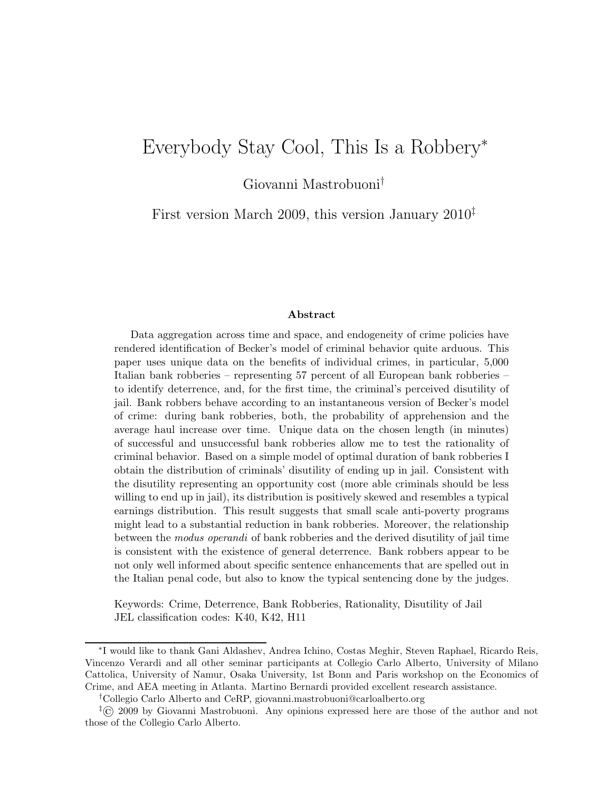# Everybody Stay Cool, This Is a Robbery<sup>∗</sup>

Giovanni Mastrobuoni†

First version March 2009, this version January 2010‡

#### Abstract

Data aggregation across time and space, and endogeneity of crime policies have rendered identification of Becker's model of criminal behavior quite arduous. This paper uses unique data on the benefits of individual crimes, in particular, 5,000 Italian bank robberies – representing 57 percent of all European bank robberies – to identify deterrence, and, for the first time, the criminal's perceived disutility of jail. Bank robbers behave according to an instantaneous version of Becker's model of crime: during bank robberies, both, the probability of apprehension and the average haul increase over time. Unique data on the chosen length (in minutes) of successful and unsuccessful bank robberies allow me to test the rationality of criminal behavior. Based on a simple model of optimal duration of bank robberies I obtain the distribution of criminals' disutility of ending up in jail. Consistent with the disutility representing an opportunity cost (more able criminals should be less willing to end up in jail), its distribution is positively skewed and resembles a typical earnings distribution. This result suggests that small scale anti-poverty programs might lead to a substantial reduction in bank robberies. Moreover, the relationship between the modus operandi of bank robberies and the derived disutility of jail time is consistent with the existence of general deterrence. Bank robbers appear to be not only well informed about specific sentence enhancements that are spelled out in the Italian penal code, but also to know the typical sentencing done by the judges.

Keywords: Crime, Deterrence, Bank Robberies, Rationality, Disutility of Jail JEL classification codes: K40, K42, H11

<sup>∗</sup> I would like to thank Gani Aldashev, Andrea Ichino, Costas Meghir, Steven Raphael, Ricardo Reis, Vincenzo Verardi and all other seminar participants at Collegio Carlo Alberto, University of Milano Cattolica, University of Namur, Osaka University, 1st Bonn and Paris workshop on the Economics of Crime, and AEA meeting in Atlanta. Martino Bernardi provided excellent research assistance.

<sup>†</sup>Collegio Carlo Alberto and CeRP, giovanni.mastrobuoni@carloalberto.org

<sup>‡</sup>© 2009 by Giovanni Mastrobuoni. Any opinions expressed here are those of the author and not those of the Collegio Carlo Alberto.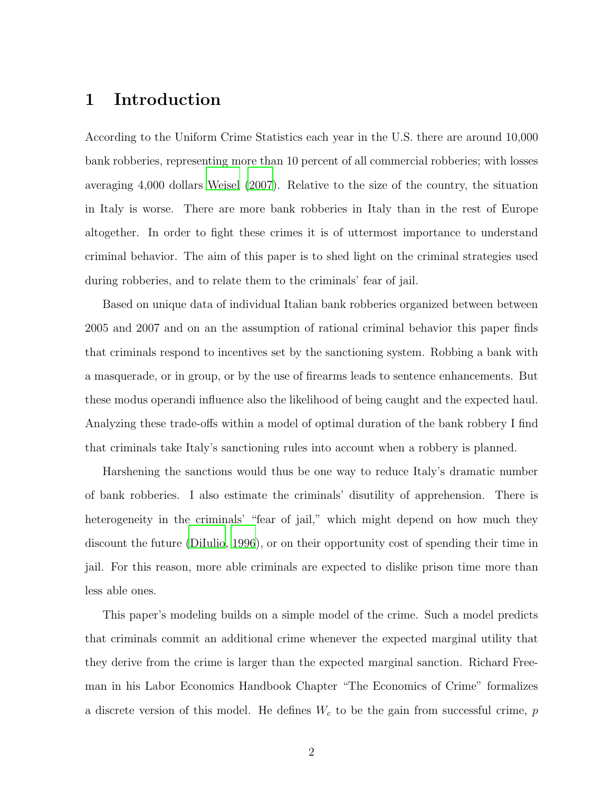# 1 Introduction

According to the Uniform Crime Statistics each year in the U.S. there are around 10,000 bank robberies, representing more than 10 percent of all commercial robberies; with losses averaging 4,000 dollars [Weisel \(2007\)](#page-20-0). Relative to the size of the country, the situation in Italy is worse. There are more bank robberies in Italy than in the rest of Europe altogether. In order to fight these crimes it is of uttermost importance to understand criminal behavior. The aim of this paper is to shed light on the criminal strategies used during robberies, and to relate them to the criminals' fear of jail.

Based on unique data of individual Italian bank robberies organized between between 2005 and 2007 and on an the assumption of rational criminal behavior this paper finds that criminals respond to incentives set by the sanctioning system. Robbing a bank with a masquerade, or in group, or by the use of firearms leads to sentence enhancements. But these modus operandi influence also the likelihood of being caught and the expected haul. Analyzing these trade-offs within a model of optimal duration of the bank robbery I find that criminals take Italy's sanctioning rules into account when a robbery is planned.

Harshening the sanctions would thus be one way to reduce Italy's dramatic number of bank robberies. I also estimate the criminals' disutility of apprehension. There is heterogeneity in the criminals' "fear of jail," which might depend on how much they discount the future [\(DiIulio](#page-18-0), [1996\)](#page-18-0), or on their opportunity cost of spending their time in jail. For this reason, more able criminals are expected to dislike prison time more than less able ones.

This paper's modeling builds on a simple model of the crime. Such a model predicts that criminals commit an additional crime whenever the expected marginal utility that they derive from the crime is larger than the expected marginal sanction. Richard Freeman in his Labor Economics Handbook Chapter "The Economics of Crime" formalizes a discrete version of this model. He defines  $W_c$  to be the gain from successful crime, p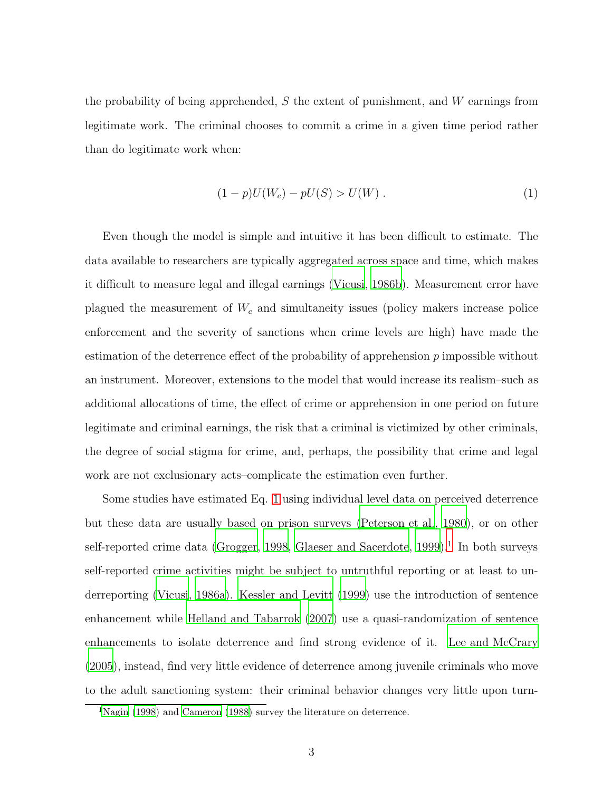the probability of being apprehended, S the extent of punishment, and W earnings from legitimate work. The criminal chooses to commit a crime in a given time period rather than do legitimate work when:

<span id="page-2-0"></span>
$$
(1 - p)U(W_c) - pU(S) > U(W) . \t\t(1)
$$

Even though the model is simple and intuitive it has been difficult to estimate. The data available to researchers are typically aggregated across space and time, which makes it difficult to measure legal and illegal earnings [\(Vicusi, 1986b\)](#page-20-1). Measurement error have plagued the measurement of  $W_c$  and simultaneity issues (policy makers increase police enforcement and the severity of sanctions when crime levels are high) have made the estimation of the deterrence effect of the probability of apprehension  $p$  impossible without an instrument. Moreover, extensions to the model that would increase its realism–such as additional allocations of time, the effect of crime or apprehension in one period on future legitimate and criminal earnings, the risk that a criminal is victimized by other criminals, the degree of social stigma for crime, and, perhaps, the possibility that crime and legal work are not exclusionary acts–complicate the estimation even further.

Some studies have estimated Eq. [1](#page-2-0) using individual level data on perceived deterrence but these data are usually based on prison surveys [\(Peterson](#page-20-2) et al., [1980\)](#page-20-2), or on other self-reported crime data [\(Grogger, 1998](#page-19-0), [Glaeser and Sacerdote](#page-19-1), [1999](#page-19-1)).<sup>1</sup> In both surveys self-reported crime activities might be subject to untruthful reporting or at least to underreporting [\(Vicusi, 1986a\)](#page-20-3). [Kessler and Levitt \(1999\)](#page-19-2) use the introduction of sentence enhancement while [Helland and Tabarrok](#page-19-3) [\(2007](#page-19-3)) use a quasi-randomization of sentence enhancements to isolate deterrence and find strong evidence of it. [Lee and McCrary](#page-19-4) [\(2005](#page-19-4)), instead, find very little evidence of deterrence among juvenile criminals who move to the adult sanctioning system: their criminal behavior changes very little upon turn-

<sup>&</sup>lt;sup>1</sup>[Nagin \(1998\)](#page-19-5) and [Cameron \(1988\)](#page-17-0) survey the literature on deterrence.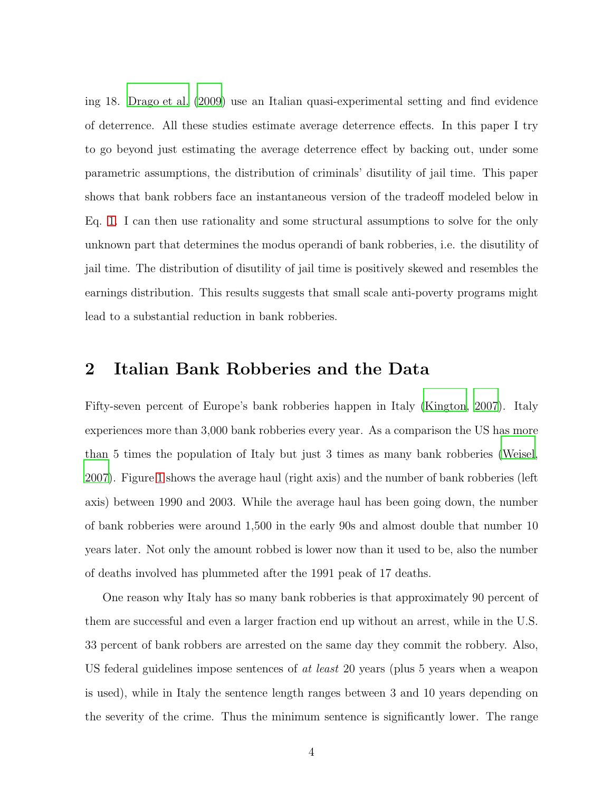ing 18. [Drago et al. \(2009\)](#page-18-1) use an Italian quasi-experimental setting and find evidence of deterrence. All these studies estimate average deterrence effects. In this paper I try to go beyond just estimating the average deterrence effect by backing out, under some parametric assumptions, the distribution of criminals' disutility of jail time. This paper shows that bank robbers face an instantaneous version of the tradeoff modeled below in Eq. [1.](#page-2-0) I can then use rationality and some structural assumptions to solve for the only unknown part that determines the modus operandi of bank robberies, i.e. the disutility of jail time. The distribution of disutility of jail time is positively skewed and resembles the earnings distribution. This results suggests that small scale anti-poverty programs might lead to a substantial reduction in bank robberies.

## 2 Italian Bank Robberies and the Data

Fifty-seven percent of Europe's bank robberies happen in Italy [\(Kington, 2007](#page-19-6)). Italy experiences more than 3,000 bank robberies every year. As a comparison the US has more than 5 times the population of Italy but just 3 times as many bank robberies [\(Weisel](#page-20-0), [2007\)](#page-20-0). Figure [1](#page-21-0) shows the average haul (right axis) and the number of bank robberies (left axis) between 1990 and 2003. While the average haul has been going down, the number of bank robberies were around 1,500 in the early 90s and almost double that number 10 years later. Not only the amount robbed is lower now than it used to be, also the number of deaths involved has plummeted after the 1991 peak of 17 deaths.

One reason why Italy has so many bank robberies is that approximately 90 percent of them are successful and even a larger fraction end up without an arrest, while in the U.S. 33 percent of bank robbers are arrested on the same day they commit the robbery. Also, US federal guidelines impose sentences of at least 20 years (plus 5 years when a weapon is used), while in Italy the sentence length ranges between 3 and 10 years depending on the severity of the crime. Thus the minimum sentence is significantly lower. The range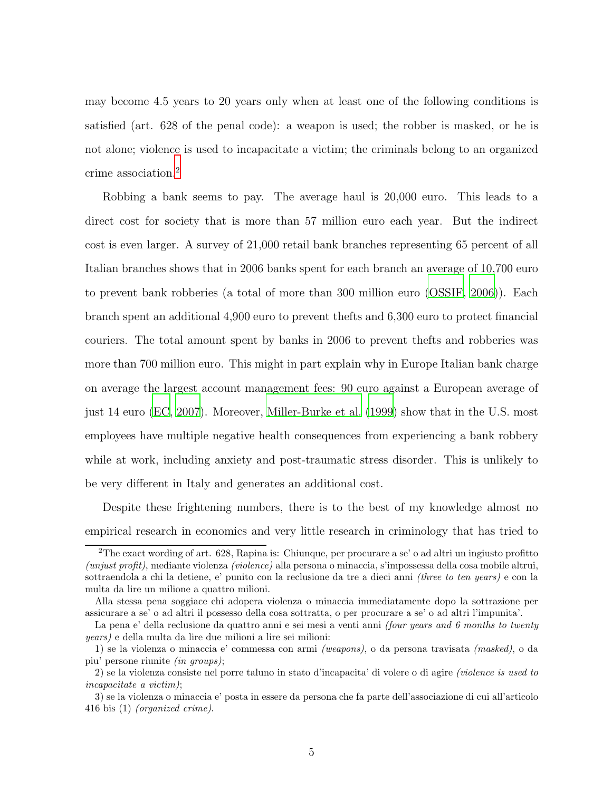may become 4.5 years to 20 years only when at least one of the following conditions is satisfied (art. 628 of the penal code): a weapon is used; the robber is masked, or he is not alone; violence is used to incapacitate a victim; the criminals belong to an organized crime association.<sup>2</sup>

Robbing a bank seems to pay. The average haul is 20,000 euro. This leads to a direct cost for society that is more than 57 million euro each year. But the indirect cost is even larger. A survey of 21,000 retail bank branches representing 65 percent of all Italian branches shows that in 2006 banks spent for each branch an average of 10,700 euro to prevent bank robberies (a total of more than 300 million euro [\(OSSIF](#page-20-4), [2006\)](#page-20-4)). Each branch spent an additional 4,900 euro to prevent thefts and 6,300 euro to protect financial couriers. The total amount spent by banks in 2006 to prevent thefts and robberies was more than 700 million euro. This might in part explain why in Europe Italian bank charge on average the largest account management fees: 90 euro against a European average of just 14 euro [\(EC, 2007](#page-18-2)). Moreover, [Miller-Burke et al. \(1999](#page-19-7)) show that in the U.S. most employees have multiple negative health consequences from experiencing a bank robbery while at work, including anxiety and post-traumatic stress disorder. This is unlikely to be very different in Italy and generates an additional cost.

Despite these frightening numbers, there is to the best of my knowledge almost no empirical research in economics and very little research in criminology that has tried to

<sup>&</sup>lt;sup>2</sup>The exact wording of art. 628, Rapina is: Chiunque, per procurare a se' o ad altri un ingiusto profitto (unjust profit), mediante violenza (violence) alla persona o minaccia, s'impossessa della cosa mobile altrui, sottraendola a chi la detiene, e' punito con la reclusione da tre a dieci anni (three to ten years) e con la multa da lire un milione a quattro milioni.

Alla stessa pena soggiace chi adopera violenza o minaccia immediatamente dopo la sottrazione per assicurare a se' o ad altri il possesso della cosa sottratta, o per procurare a se' o ad altri l'impunita'.

La pena e' della reclusione da quattro anni e sei mesi a venti anni (four years and 6 months to twenty years) e della multa da lire due milioni a lire sei milioni:

<sup>1)</sup> se la violenza o minaccia e' commessa con armi (weapons), o da persona travisata (masked), o da piu' persone riunite (in groups);

<sup>2)</sup> se la violenza consiste nel porre taluno in stato d'incapacita' di volere o di agire (violence is used to incapacitate a victim);

<sup>3)</sup> se la violenza o minaccia e' posta in essere da persona che fa parte dell'associazione di cui all'articolo 416 bis (1) (organized crime).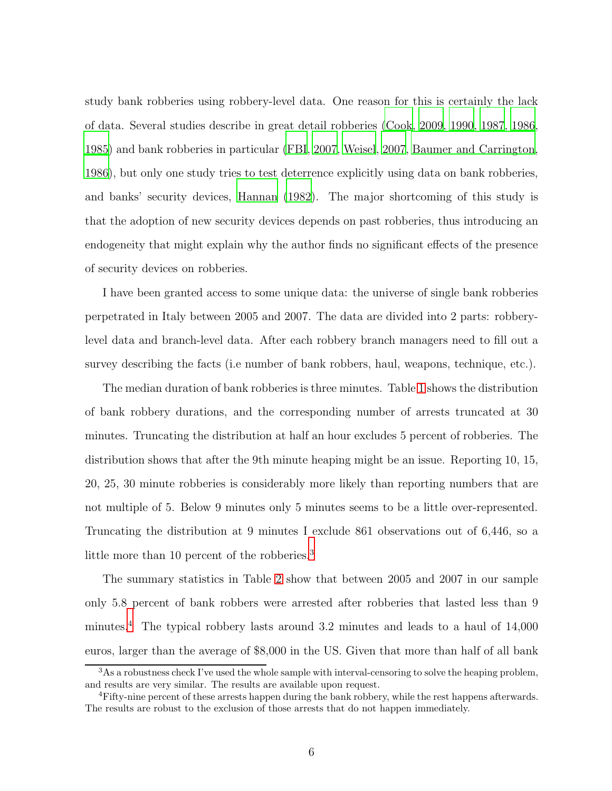study bank robberies using robbery-level data. One reason for this is certainly the lack of data. Several studies describe in great detail robberies [\(Cook, 2009,](#page-18-3) [1990](#page-17-1), [1987,](#page-18-4) [1986](#page-18-5), [1985\)](#page-18-6) and bank robberies in particular [\(FBI](#page-18-7), [2007](#page-18-7), [Weisel](#page-20-0), [2007](#page-20-0), [Baumer and Carrington](#page-17-2), [1986\)](#page-17-2), but only one study tries to test deterrence explicitly using data on bank robberies, and banks' security devices, [Hannan \(1982](#page-19-8)). The major shortcoming of this study is that the adoption of new security devices depends on past robberies, thus introducing an endogeneity that might explain why the author finds no significant effects of the presence of security devices on robberies.

I have been granted access to some unique data: the universe of single bank robberies perpetrated in Italy between 2005 and 2007. The data are divided into 2 parts: robberylevel data and branch-level data. After each robbery branch managers need to fill out a survey describing the facts (i.e number of bank robbers, haul, weapons, technique, etc.).

The median duration of bank robberies is three minutes. Table [1](#page-26-0) shows the distribution of bank robbery durations, and the corresponding number of arrests truncated at 30 minutes. Truncating the distribution at half an hour excludes 5 percent of robberies. The distribution shows that after the 9th minute heaping might be an issue. Reporting 10, 15, 20, 25, 30 minute robberies is considerably more likely than reporting numbers that are not multiple of 5. Below 9 minutes only 5 minutes seems to be a little over-represented. Truncating the distribution at 9 minutes I exclude 861 observations out of 6,446, so a little more than 10 percent of the robberies.<sup>3</sup>

The summary statistics in Table [2](#page-27-0) show that between 2005 and 2007 in our sample only 5.8 percent of bank robbers were arrested after robberies that lasted less than 9 minutes.<sup>4</sup> The typical robbery lasts around 3.2 minutes and leads to a haul of 14,000 euros, larger than the average of \$8,000 in the US. Given that more than half of all bank

 $3$ As a robustness check I've used the whole sample with interval-censoring to solve the heaping problem, and results are very similar. The results are available upon request.

<sup>4</sup>Fifty-nine percent of these arrests happen during the bank robbery, while the rest happens afterwards. The results are robust to the exclusion of those arrests that do not happen immediately.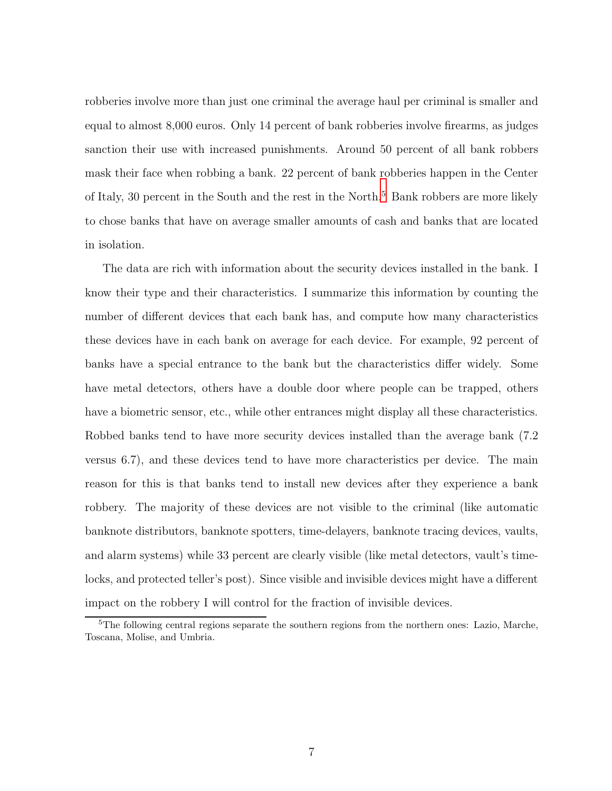robberies involve more than just one criminal the average haul per criminal is smaller and equal to almost 8,000 euros. Only 14 percent of bank robberies involve firearms, as judges sanction their use with increased punishments. Around 50 percent of all bank robbers mask their face when robbing a bank. 22 percent of bank robberies happen in the Center of Italy, 30 percent in the South and the rest in the North.<sup>5</sup> Bank robbers are more likely to chose banks that have on average smaller amounts of cash and banks that are located in isolation.

The data are rich with information about the security devices installed in the bank. I know their type and their characteristics. I summarize this information by counting the number of different devices that each bank has, and compute how many characteristics these devices have in each bank on average for each device. For example, 92 percent of banks have a special entrance to the bank but the characteristics differ widely. Some have metal detectors, others have a double door where people can be trapped, others have a biometric sensor, etc., while other entrances might display all these characteristics. Robbed banks tend to have more security devices installed than the average bank (7.2 versus 6.7), and these devices tend to have more characteristics per device. The main reason for this is that banks tend to install new devices after they experience a bank robbery. The majority of these devices are not visible to the criminal (like automatic banknote distributors, banknote spotters, time-delayers, banknote tracing devices, vaults, and alarm systems) while 33 percent are clearly visible (like metal detectors, vault's timelocks, and protected teller's post). Since visible and invisible devices might have a different impact on the robbery I will control for the fraction of invisible devices.

<sup>&</sup>lt;sup>5</sup>The following central regions separate the southern regions from the northern ones: Lazio, Marche, Toscana, Molise, and Umbria.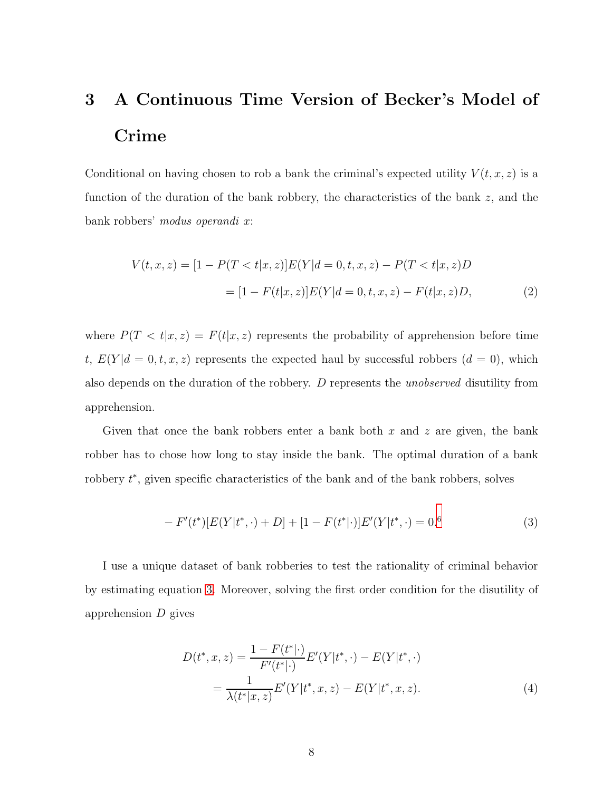# 3 A Continuous Time Version of Becker's Model of Crime

Conditional on having chosen to rob a bank the criminal's expected utility  $V(t, x, z)$  is a function of the duration of the bank robbery, the characteristics of the bank z, and the bank robbers' modus operandi x:

$$
V(t, x, z) = [1 - P(T < t | x, z)]E(Y|d = 0, t, x, z) - P(T < t | x, z)D
$$
  

$$
= [1 - F(t | x, z)]E(Y|d = 0, t, x, z) - F(t | x, z)D,
$$
 (2)

where  $P(T < t | x, z) = F(t | x, z)$  represents the probability of apprehension before time t,  $E(Y|d = 0, t, x, z)$  represents the expected haul by successful robbers  $(d = 0)$ , which also depends on the duration of the robbery. D represents the unobserved disutility from apprehension.

Given that once the bank robbers enter a bank both  $x$  and  $z$  are given, the bank robber has to chose how long to stay inside the bank. The optimal duration of a bank robbery  $t^*$ , given specific characteristics of the bank and of the bank robbers, solves

<span id="page-7-0"></span>
$$
- F'(t^*)[E(Y|t^*, \cdot) + D] + [1 - F(t^*|\cdot)]E'(Y|t^*, \cdot) = 0.6
$$
\n(3)

I use a unique dataset of bank robberies to test the rationality of criminal behavior by estimating equation [3.](#page-7-0) Moreover, solving the first order condition for the disutility of apprehension D gives

<span id="page-7-1"></span>
$$
D(t^*, x, z) = \frac{1 - F(t^*|\cdot)}{F'(t^*|\cdot)} E'(Y|t^*, \cdot) - E(Y|t^*, \cdot)
$$
  
= 
$$
\frac{1}{\lambda(t^*|x, z)} E'(Y|t^*, x, z) - E(Y|t^*, x, z).
$$
 (4)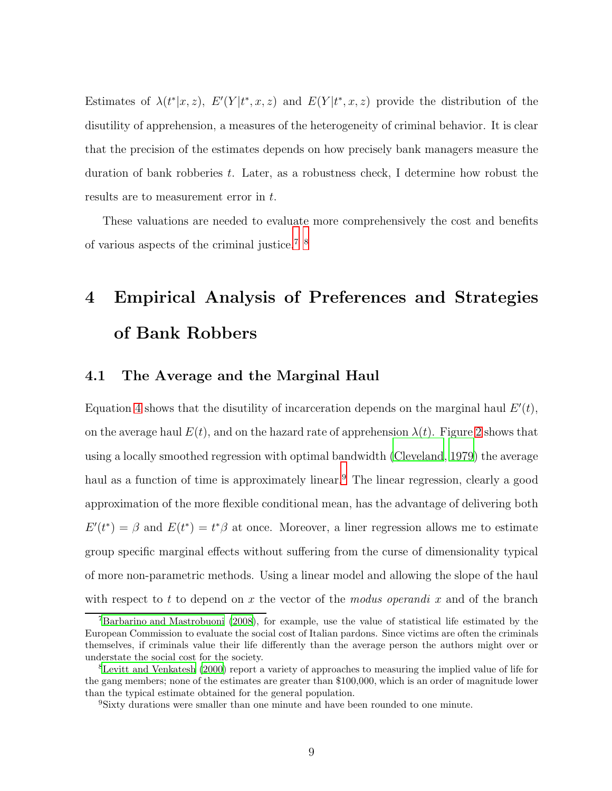Estimates of  $\lambda(t^*|x, z)$ ,  $E'(Y|t^*, x, z)$  and  $E(Y|t^*, x, z)$  provide the distribution of the disutility of apprehension, a measures of the heterogeneity of criminal behavior. It is clear that the precision of the estimates depends on how precisely bank managers measure the duration of bank robberies  $t$ . Later, as a robustness check, I determine how robust the results are to measurement error in t.

These valuations are needed to evaluate more comprehensively the cost and benefits of various aspects of the criminal justice.7 8

# 4 Empirical Analysis of Preferences and Strategies of Bank Robbers

## 4.1 The Average and the Marginal Haul

Equation [4](#page-7-1) shows that the disutility of incarceration depends on the marginal haul  $E'(t)$ , on the average haul  $E(t)$ , and on the hazard rate of apprehension  $\lambda(t)$ . Figure [2](#page-21-1) shows that using a locally smoothed regression with optimal bandwidth [\(Cleveland](#page-17-3), [1979\)](#page-17-3) the average haul as a function of time is approximately linear.<sup>9</sup> The linear regression, clearly a good approximation of the more flexible conditional mean, has the advantage of delivering both  $E'(t^*) = \beta$  and  $E(t^*) = t^* \beta$  at once. Moreover, a liner regression allows me to estimate group specific marginal effects without suffering from the curse of dimensionality typical of more non-parametric methods. Using a linear model and allowing the slope of the haul with respect to t to depend on x the vector of the modus operandi x and of the branch

<sup>7</sup>[Barbarino and Mastrobuoni \(2008\)](#page-17-4), for example, use the value of statistical life estimated by the European Commission to evaluate the social cost of Italian pardons. Since victims are often the criminals themselves, if criminals value their life differently than the average person the authors might over or understate the social cost for the society.

<sup>8</sup>[Levitt and Venkatesh \(2000\)](#page-19-9) report a variety of approaches to measuring the implied value of life for the gang members; none of the estimates are greater than \$100,000, which is an order of magnitude lower than the typical estimate obtained for the general population.

<sup>9</sup>Sixty durations were smaller than one minute and have been rounded to one minute.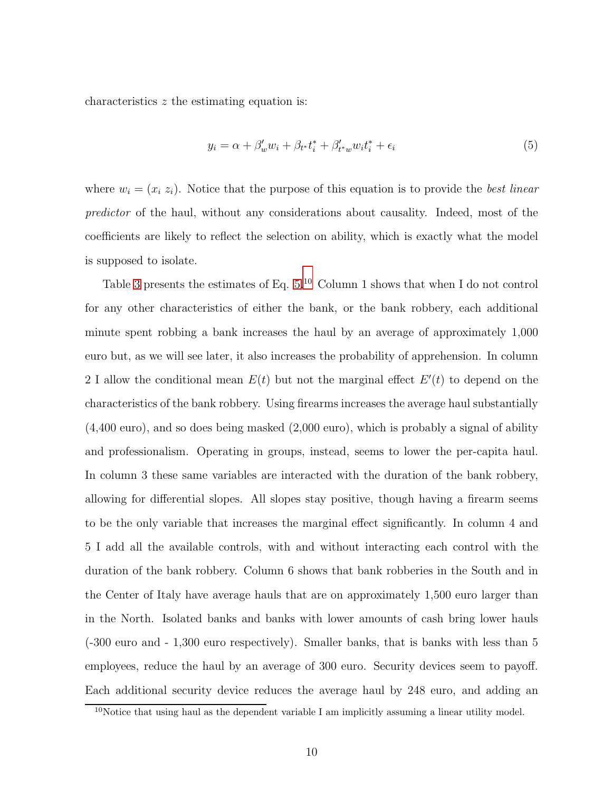characteristics z the estimating equation is:

<span id="page-9-0"></span>
$$
y_i = \alpha + \beta'_w w_i + \beta_{t^*} t_i^* + \beta'_{t^*w} w_i t_i^* + \epsilon_i
$$
\n
$$
\tag{5}
$$

where  $w_i = (x_i, z_i)$ . Notice that the purpose of this equation is to provide the best linear predictor of the haul, without any considerations about causality. Indeed, most of the coefficients are likely to reflect the selection on ability, which is exactly what the model is supposed to isolate.

Table [3](#page-28-0) presents the estimates of Eq. [5.](#page-9-0)<sup>10</sup> Column 1 shows that when I do not control for any other characteristics of either the bank, or the bank robbery, each additional minute spent robbing a bank increases the haul by an average of approximately 1,000 euro but, as we will see later, it also increases the probability of apprehension. In column 2 I allow the conditional mean  $E(t)$  but not the marginal effect  $E'(t)$  to depend on the characteristics of the bank robbery. Using firearms increases the average haul substantially (4,400 euro), and so does being masked (2,000 euro), which is probably a signal of ability and professionalism. Operating in groups, instead, seems to lower the per-capita haul. In column 3 these same variables are interacted with the duration of the bank robbery, allowing for differential slopes. All slopes stay positive, though having a firearm seems to be the only variable that increases the marginal effect significantly. In column 4 and 5 I add all the available controls, with and without interacting each control with the duration of the bank robbery. Column 6 shows that bank robberies in the South and in the Center of Italy have average hauls that are on approximately 1,500 euro larger than in the North. Isolated banks and banks with lower amounts of cash bring lower hauls (-300 euro and - 1,300 euro respectively). Smaller banks, that is banks with less than 5 employees, reduce the haul by an average of 300 euro. Security devices seem to payoff. Each additional security device reduces the average haul by 248 euro, and adding an

<sup>10</sup>Notice that using haul as the dependent variable I am implicitly assuming a linear utility model.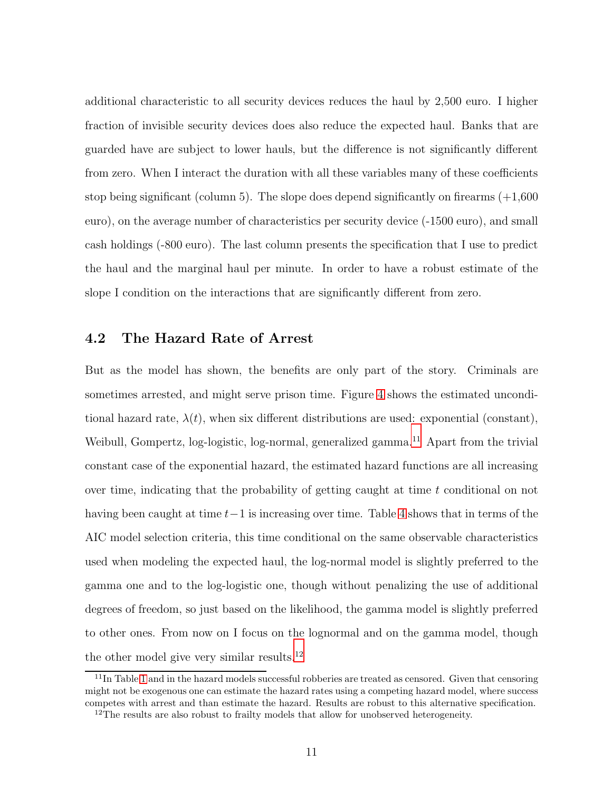additional characteristic to all security devices reduces the haul by 2,500 euro. I higher fraction of invisible security devices does also reduce the expected haul. Banks that are guarded have are subject to lower hauls, but the difference is not significantly different from zero. When I interact the duration with all these variables many of these coefficients stop being significant (column 5). The slope does depend significantly on firearms  $(+1,600$ euro), on the average number of characteristics per security device (-1500 euro), and small cash holdings (-800 euro). The last column presents the specification that I use to predict the haul and the marginal haul per minute. In order to have a robust estimate of the slope I condition on the interactions that are significantly different from zero.

## 4.2 The Hazard Rate of Arrest

But as the model has shown, the benefits are only part of the story. Criminals are sometimes arrested, and might serve prison time. Figure [4](#page-23-0) shows the estimated unconditional hazard rate,  $\lambda(t)$ , when six different distributions are used: exponential (constant), Weibull, Gompertz, log-logistic, log-normal, generalized gamma.<sup>11</sup> Apart from the trivial constant case of the exponential hazard, the estimated hazard functions are all increasing over time, indicating that the probability of getting caught at time  $t$  conditional on not having been caught at time  $t-1$  is increasing over time. Table [4](#page-29-0) shows that in terms of the AIC model selection criteria, this time conditional on the same observable characteristics used when modeling the expected haul, the log-normal model is slightly preferred to the gamma one and to the log-logistic one, though without penalizing the use of additional degrees of freedom, so just based on the likelihood, the gamma model is slightly preferred to other ones. From now on I focus on the lognormal and on the gamma model, though the other model give very similar results. $^{12}$ 

<sup>&</sup>lt;sup>11</sup>In Table [1](#page-26-0) and in the hazard models successful robberies are treated as censored. Given that censoring might not be exogenous one can estimate the hazard rates using a competing hazard model, where success competes with arrest and than estimate the hazard. Results are robust to this alternative specification.

<sup>&</sup>lt;sup>12</sup>The results are also robust to frailty models that allow for unobserved heterogeneity.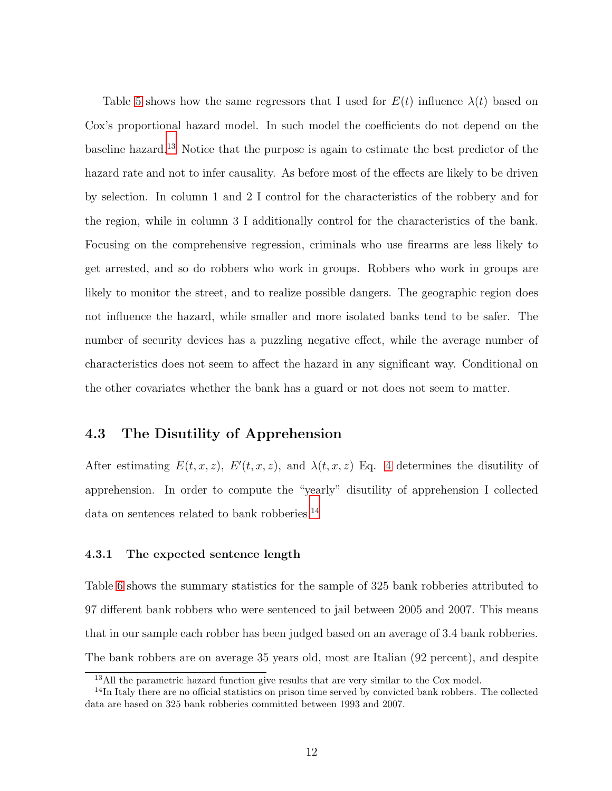Table [5](#page-29-1) shows how the same regressors that I used for  $E(t)$  influence  $\lambda(t)$  based on Cox's proportional hazard model. In such model the coefficients do not depend on the baseline hazard.<sup>13</sup> Notice that the purpose is again to estimate the best predictor of the hazard rate and not to infer causality. As before most of the effects are likely to be driven by selection. In column 1 and 2 I control for the characteristics of the robbery and for the region, while in column 3 I additionally control for the characteristics of the bank. Focusing on the comprehensive regression, criminals who use firearms are less likely to get arrested, and so do robbers who work in groups. Robbers who work in groups are likely to monitor the street, and to realize possible dangers. The geographic region does not influence the hazard, while smaller and more isolated banks tend to be safer. The number of security devices has a puzzling negative effect, while the average number of characteristics does not seem to affect the hazard in any significant way. Conditional on the other covariates whether the bank has a guard or not does not seem to matter.

## 4.3 The Disutility of Apprehension

After estimating  $E(t, x, z)$ ,  $E'(t, x, z)$ , and  $\lambda(t, x, z)$  Eq. [4](#page-7-1) determines the disutility of apprehension. In order to compute the "yearly" disutility of apprehension I collected data on sentences related to bank robberies.<sup>14</sup>

## 4.3.1 The expected sentence length

Table [6](#page-30-0) shows the summary statistics for the sample of 325 bank robberies attributed to 97 different bank robbers who were sentenced to jail between 2005 and 2007. This means that in our sample each robber has been judged based on an average of 3.4 bank robberies. The bank robbers are on average 35 years old, most are Italian (92 percent), and despite

<sup>&</sup>lt;sup>13</sup>All the parametric hazard function give results that are very similar to the Cox model.

<sup>&</sup>lt;sup>14</sup>In Italy there are no official statistics on prison time served by convicted bank robbers. The collected data are based on 325 bank robberies committed between 1993 and 2007.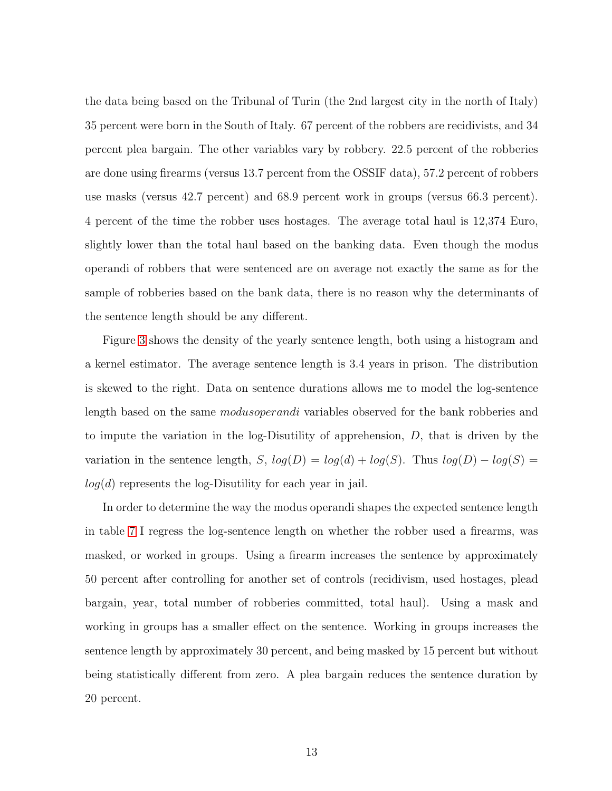the data being based on the Tribunal of Turin (the 2nd largest city in the north of Italy) 35 percent were born in the South of Italy. 67 percent of the robbers are recidivists, and 34 percent plea bargain. The other variables vary by robbery. 22.5 percent of the robberies are done using firearms (versus 13.7 percent from the OSSIF data), 57.2 percent of robbers use masks (versus 42.7 percent) and 68.9 percent work in groups (versus 66.3 percent). 4 percent of the time the robber uses hostages. The average total haul is 12,374 Euro, slightly lower than the total haul based on the banking data. Even though the modus operandi of robbers that were sentenced are on average not exactly the same as for the sample of robberies based on the bank data, there is no reason why the determinants of the sentence length should be any different.

Figure [3](#page-22-0) shows the density of the yearly sentence length, both using a histogram and a kernel estimator. The average sentence length is 3.4 years in prison. The distribution is skewed to the right. Data on sentence durations allows me to model the log-sentence length based on the same modusoperandi variables observed for the bank robberies and to impute the variation in the log-Disutility of apprehension,  $D$ , that is driven by the variation in the sentence length, S,  $log(D) = log(d) + log(S)$ . Thus  $log(D) - log(S) =$  $log(d)$  represents the log-Disutility for each year in jail.

In order to determine the way the modus operandi shapes the expected sentence length in table [7](#page-30-1) I regress the log-sentence length on whether the robber used a firearms, was masked, or worked in groups. Using a firearm increases the sentence by approximately 50 percent after controlling for another set of controls (recidivism, used hostages, plead bargain, year, total number of robberies committed, total haul). Using a mask and working in groups has a smaller effect on the sentence. Working in groups increases the sentence length by approximately 30 percent, and being masked by 15 percent but without being statistically different from zero. A plea bargain reduces the sentence duration by 20 percent.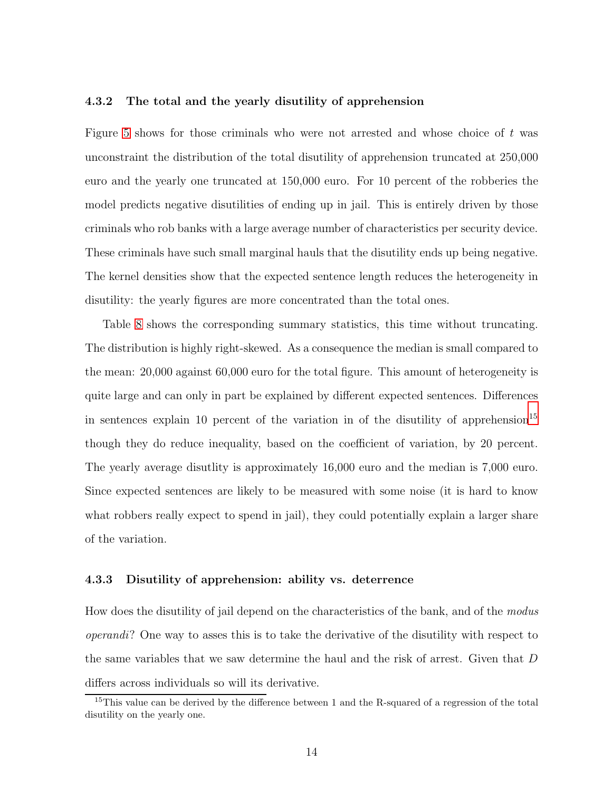#### 4.3.2 The total and the yearly disutility of apprehension

Figure [5](#page-24-0) shows for those criminals who were not arrested and whose choice of  $t$  was unconstraint the distribution of the total disutility of apprehension truncated at 250,000 euro and the yearly one truncated at 150,000 euro. For 10 percent of the robberies the model predicts negative disutilities of ending up in jail. This is entirely driven by those criminals who rob banks with a large average number of characteristics per security device. These criminals have such small marginal hauls that the disutility ends up being negative. The kernel densities show that the expected sentence length reduces the heterogeneity in disutility: the yearly figures are more concentrated than the total ones.

Table [8](#page-31-0) shows the corresponding summary statistics, this time without truncating. The distribution is highly right-skewed. As a consequence the median is small compared to the mean: 20,000 against 60,000 euro for the total figure. This amount of heterogeneity is quite large and can only in part be explained by different expected sentences. Differences in sentences explain 10 percent of the variation in of the disutility of apprehension<sup>15</sup> though they do reduce inequality, based on the coefficient of variation, by 20 percent. The yearly average disutlity is approximately 16,000 euro and the median is 7,000 euro. Since expected sentences are likely to be measured with some noise (it is hard to know what robbers really expect to spend in jail), they could potentially explain a larger share of the variation.

## 4.3.3 Disutility of apprehension: ability vs. deterrence

How does the disutility of jail depend on the characteristics of the bank, and of the modus operandi? One way to asses this is to take the derivative of the disutility with respect to the same variables that we saw determine the haul and the risk of arrest. Given that D differs across individuals so will its derivative.

<sup>&</sup>lt;sup>15</sup>This value can be derived by the difference between 1 and the R-squared of a regression of the total disutility on the yearly one.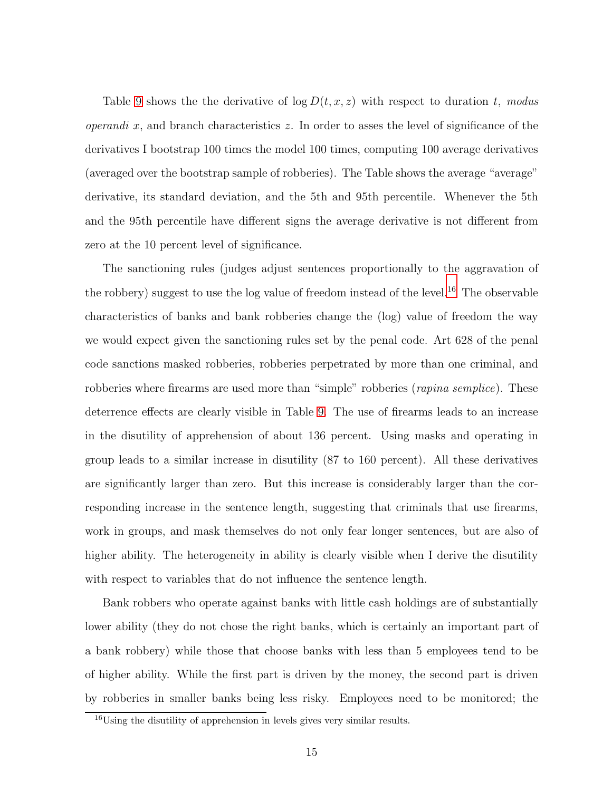Table [9](#page-32-0) shows the the derivative of  $\log D(t, x, z)$  with respect to duration t, modus *operandi x*, and branch characteristics z. In order to asses the level of significance of the derivatives I bootstrap 100 times the model 100 times, computing 100 average derivatives (averaged over the bootstrap sample of robberies). The Table shows the average "average" derivative, its standard deviation, and the 5th and 95th percentile. Whenever the 5th and the 95th percentile have different signs the average derivative is not different from zero at the 10 percent level of significance.

The sanctioning rules (judges adjust sentences proportionally to the aggravation of the robbery) suggest to use the log value of freedom instead of the level.<sup>16</sup> The observable characteristics of banks and bank robberies change the (log) value of freedom the way we would expect given the sanctioning rules set by the penal code. Art 628 of the penal code sanctions masked robberies, robberies perpetrated by more than one criminal, and robberies where firearms are used more than "simple" robberies (*rapina semplice*). These deterrence effects are clearly visible in Table [9.](#page-32-0) The use of firearms leads to an increase in the disutility of apprehension of about 136 percent. Using masks and operating in group leads to a similar increase in disutility (87 to 160 percent). All these derivatives are significantly larger than zero. But this increase is considerably larger than the corresponding increase in the sentence length, suggesting that criminals that use firearms, work in groups, and mask themselves do not only fear longer sentences, but are also of higher ability. The heterogeneity in ability is clearly visible when I derive the disutility with respect to variables that do not influence the sentence length.

Bank robbers who operate against banks with little cash holdings are of substantially lower ability (they do not chose the right banks, which is certainly an important part of a bank robbery) while those that choose banks with less than 5 employees tend to be of higher ability. While the first part is driven by the money, the second part is driven by robberies in smaller banks being less risky. Employees need to be monitored; the

 $16$ Using the disutility of apprehension in levels gives very similar results.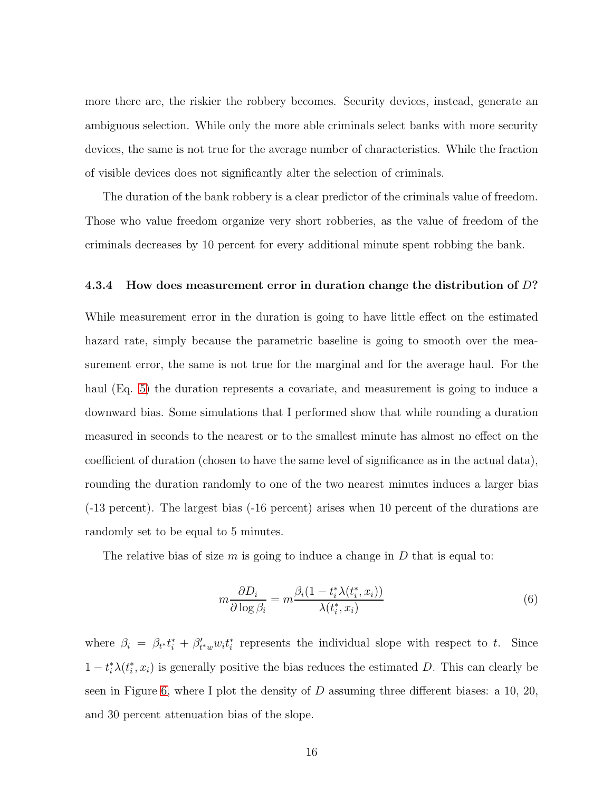more there are, the riskier the robbery becomes. Security devices, instead, generate an ambiguous selection. While only the more able criminals select banks with more security devices, the same is not true for the average number of characteristics. While the fraction of visible devices does not significantly alter the selection of criminals.

The duration of the bank robbery is a clear predictor of the criminals value of freedom. Those who value freedom organize very short robberies, as the value of freedom of the criminals decreases by 10 percent for every additional minute spent robbing the bank.

### 4.3.4 How does measurement error in duration change the distribution of D?

While measurement error in the duration is going to have little effect on the estimated hazard rate, simply because the parametric baseline is going to smooth over the measurement error, the same is not true for the marginal and for the average haul. For the haul (Eq. [5\)](#page-9-0) the duration represents a covariate, and measurement is going to induce a downward bias. Some simulations that I performed show that while rounding a duration measured in seconds to the nearest or to the smallest minute has almost no effect on the coefficient of duration (chosen to have the same level of significance as in the actual data), rounding the duration randomly to one of the two nearest minutes induces a larger bias (-13 percent). The largest bias (-16 percent) arises when 10 percent of the durations are randomly set to be equal to 5 minutes.

The relative bias of size m is going to induce a change in D that is equal to:

$$
m\frac{\partial D_i}{\partial \log \beta_i} = m \frac{\beta_i (1 - t_i^* \lambda(t_i^*, x_i))}{\lambda(t_i^*, x_i)}
$$
(6)

where  $\beta_i = \beta_{t} t_i^* + \beta'_{t^*w} w_i t_i^*$  represents the individual slope with respect to t. Since  $1-t_i^*\lambda(t_i^*,x_i)$  is generally positive the bias reduces the estimated D. This can clearly be seen in Figure [6,](#page-25-0) where I plot the density of D assuming three different biases: a 10, 20, and 30 percent attenuation bias of the slope.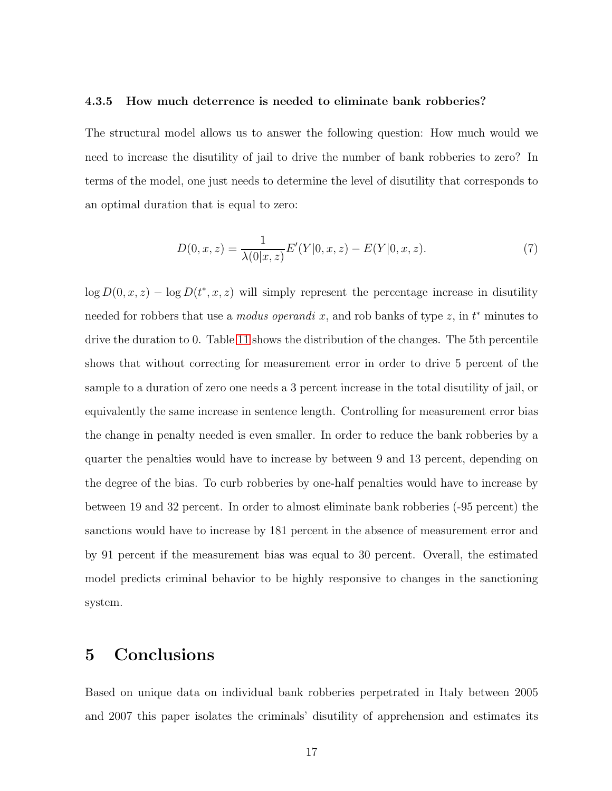#### 4.3.5 How much deterrence is needed to eliminate bank robberies?

The structural model allows us to answer the following question: How much would we need to increase the disutility of jail to drive the number of bank robberies to zero? In terms of the model, one just needs to determine the level of disutility that corresponds to an optimal duration that is equal to zero:

$$
D(0, x, z) = \frac{1}{\lambda(0|x, z)} E'(Y|0, x, z) - E(Y|0, x, z).
$$
 (7)

 $\log D(0, x, z) - \log D(t^*, x, z)$  will simply represent the percentage increase in disutility needed for robbers that use a *modus operandi* x, and rob banks of type z, in  $t^*$  minutes to drive the duration to 0. Table [11](#page-34-0) shows the distribution of the changes. The 5th percentile shows that without correcting for measurement error in order to drive 5 percent of the sample to a duration of zero one needs a 3 percent increase in the total disutility of jail, or equivalently the same increase in sentence length. Controlling for measurement error bias the change in penalty needed is even smaller. In order to reduce the bank robberies by a quarter the penalties would have to increase by between 9 and 13 percent, depending on the degree of the bias. To curb robberies by one-half penalties would have to increase by between 19 and 32 percent. In order to almost eliminate bank robberies (-95 percent) the sanctions would have to increase by 181 percent in the absence of measurement error and by 91 percent if the measurement bias was equal to 30 percent. Overall, the estimated model predicts criminal behavior to be highly responsive to changes in the sanctioning system.

# 5 Conclusions

Based on unique data on individual bank robberies perpetrated in Italy between 2005 and 2007 this paper isolates the criminals' disutility of apprehension and estimates its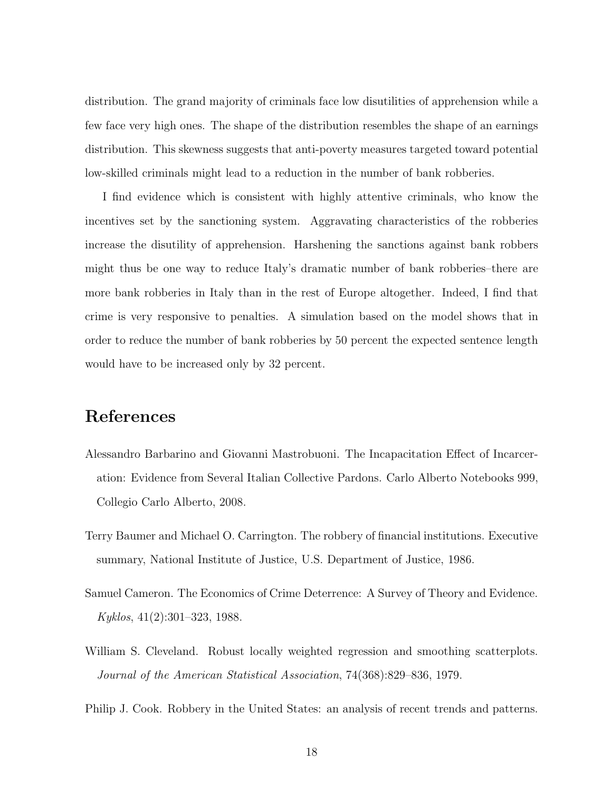distribution. The grand majority of criminals face low disutilities of apprehension while a few face very high ones. The shape of the distribution resembles the shape of an earnings distribution. This skewness suggests that anti-poverty measures targeted toward potential low-skilled criminals might lead to a reduction in the number of bank robberies.

I find evidence which is consistent with highly attentive criminals, who know the incentives set by the sanctioning system. Aggravating characteristics of the robberies increase the disutility of apprehension. Harshening the sanctions against bank robbers might thus be one way to reduce Italy's dramatic number of bank robberies–there are more bank robberies in Italy than in the rest of Europe altogether. Indeed, I find that crime is very responsive to penalties. A simulation based on the model shows that in order to reduce the number of bank robberies by 50 percent the expected sentence length would have to be increased only by 32 percent.

# References

- <span id="page-17-4"></span>Alessandro Barbarino and Giovanni Mastrobuoni. The Incapacitation Effect of Incarceration: Evidence from Several Italian Collective Pardons. Carlo Alberto Notebooks 999, Collegio Carlo Alberto, 2008.
- <span id="page-17-2"></span>Terry Baumer and Michael O. Carrington. The robbery of financial institutions. Executive summary, National Institute of Justice, U.S. Department of Justice, 1986.
- <span id="page-17-0"></span>Samuel Cameron. The Economics of Crime Deterrence: A Survey of Theory and Evidence. Kyklos, 41(2):301–323, 1988.
- <span id="page-17-3"></span>William S. Cleveland. Robust locally weighted regression and smoothing scatterplots. Journal of the American Statistical Association, 74(368):829–836, 1979.
- <span id="page-17-1"></span>Philip J. Cook. Robbery in the United States: an analysis of recent trends and patterns.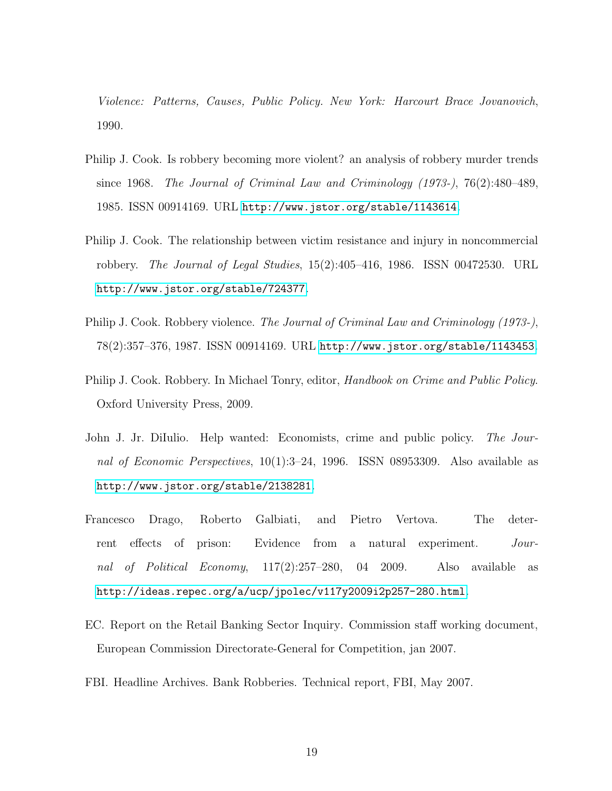Violence: Patterns, Causes, Public Policy. New York: Harcourt Brace Jovanovich, 1990.

- <span id="page-18-6"></span>Philip J. Cook. Is robbery becoming more violent? an analysis of robbery murder trends since 1968. The Journal of Criminal Law and Criminology (1973-), 76(2):480–489, 1985. ISSN 00914169. URL <http://www.jstor.org/stable/1143614>.
- <span id="page-18-5"></span>Philip J. Cook. The relationship between victim resistance and injury in noncommercial robbery. The Journal of Legal Studies, 15(2):405–416, 1986. ISSN 00472530. URL <http://www.jstor.org/stable/724377>.
- <span id="page-18-4"></span>Philip J. Cook. Robbery violence. The Journal of Criminal Law and Criminology (1973-), 78(2):357–376, 1987. ISSN 00914169. URL <http://www.jstor.org/stable/1143453>.
- <span id="page-18-3"></span>Philip J. Cook. Robbery. In Michael Tonry, editor, *Handbook on Crime and Public Policy*. Oxford University Press, 2009.
- <span id="page-18-0"></span>John J. Jr. DiIulio. Help wanted: Economists, crime and public policy. The Journal of Economic Perspectives, 10(1):3–24, 1996. ISSN 08953309. Also available as <http://www.jstor.org/stable/2138281>.
- <span id="page-18-1"></span>Francesco Drago, Roberto Galbiati, and Pietro Vertova. The deterrent effects of prison: Evidence from a natural experiment. Journal of Political Economy, 117(2):257–280, 04 2009. Also available as <http://ideas.repec.org/a/ucp/jpolec/v117y2009i2p257-280.html>.
- <span id="page-18-2"></span>EC. Report on the Retail Banking Sector Inquiry. Commission staff working document, European Commission Directorate-General for Competition, jan 2007.
- <span id="page-18-7"></span>FBI. Headline Archives. Bank Robberies. Technical report, FBI, May 2007.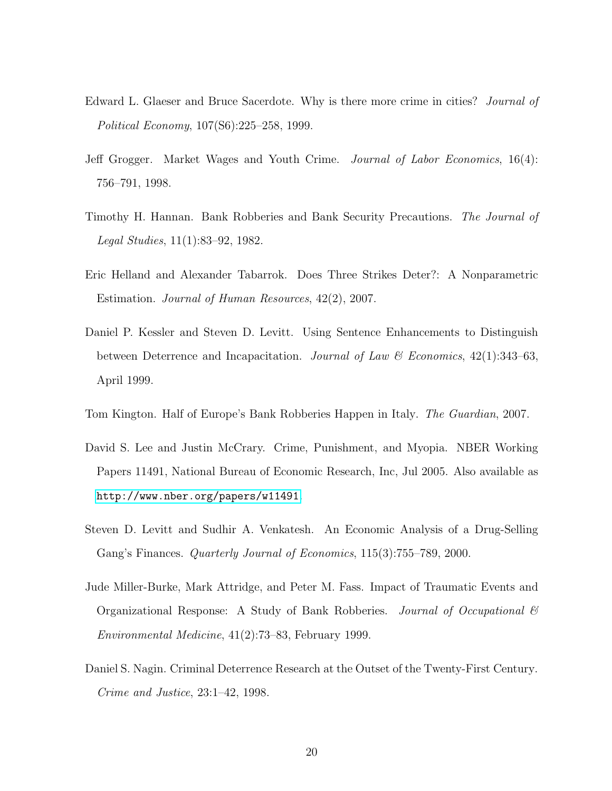- <span id="page-19-1"></span>Edward L. Glaeser and Bruce Sacerdote. Why is there more crime in cities? *Journal of* Political Economy, 107(S6):225–258, 1999.
- <span id="page-19-0"></span>Jeff Grogger. Market Wages and Youth Crime. Journal of Labor Economics, 16(4): 756–791, 1998.
- <span id="page-19-8"></span>Timothy H. Hannan. Bank Robberies and Bank Security Precautions. The Journal of Legal Studies, 11(1):83–92, 1982.
- <span id="page-19-3"></span>Eric Helland and Alexander Tabarrok. Does Three Strikes Deter?: A Nonparametric Estimation. Journal of Human Resources, 42(2), 2007.
- <span id="page-19-2"></span>Daniel P. Kessler and Steven D. Levitt. Using Sentence Enhancements to Distinguish between Deterrence and Incapacitation. Journal of Law & Economics, 42(1):343–63, April 1999.
- <span id="page-19-6"></span>Tom Kington. Half of Europe's Bank Robberies Happen in Italy. The Guardian, 2007.
- <span id="page-19-4"></span>David S. Lee and Justin McCrary. Crime, Punishment, and Myopia. NBER Working Papers 11491, National Bureau of Economic Research, Inc, Jul 2005. Also available as <http://www.nber.org/papers/w11491>.
- <span id="page-19-9"></span>Steven D. Levitt and Sudhir A. Venkatesh. An Economic Analysis of a Drug-Selling Gang's Finances. Quarterly Journal of Economics, 115(3):755–789, 2000.
- <span id="page-19-7"></span>Jude Miller-Burke, Mark Attridge, and Peter M. Fass. Impact of Traumatic Events and Organizational Response: A Study of Bank Robberies. Journal of Occupational & Environmental Medicine, 41(2):73–83, February 1999.
- <span id="page-19-5"></span>Daniel S. Nagin. Criminal Deterrence Research at the Outset of the Twenty-First Century. Crime and Justice, 23:1–42, 1998.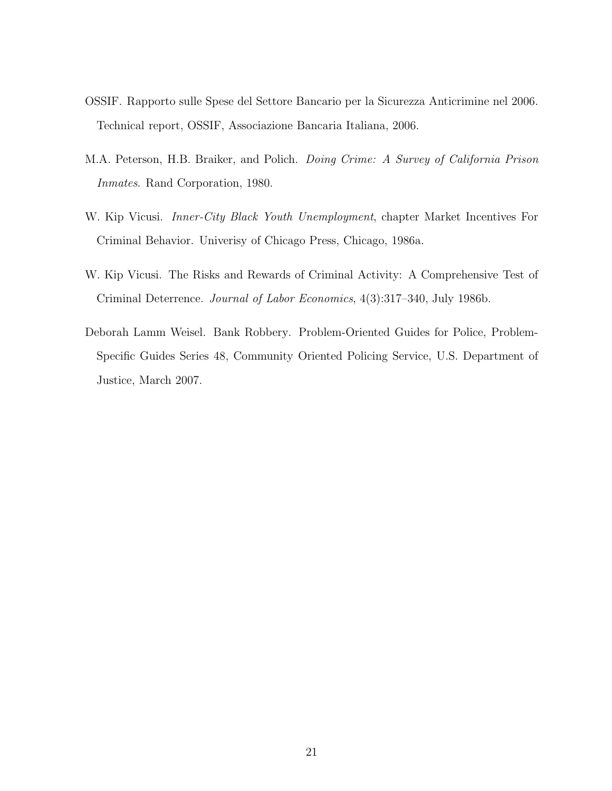- <span id="page-20-4"></span>OSSIF. Rapporto sulle Spese del Settore Bancario per la Sicurezza Anticrimine nel 2006. Technical report, OSSIF, Associazione Bancaria Italiana, 2006.
- <span id="page-20-2"></span>M.A. Peterson, H.B. Braiker, and Polich. Doing Crime: A Survey of California Prison Inmates. Rand Corporation, 1980.
- <span id="page-20-3"></span>W. Kip Vicusi. *Inner-City Black Youth Unemployment*, chapter Market Incentives For Criminal Behavior. Univerisy of Chicago Press, Chicago, 1986a.
- <span id="page-20-1"></span>W. Kip Vicusi. The Risks and Rewards of Criminal Activity: A Comprehensive Test of Criminal Deterrence. Journal of Labor Economics, 4(3):317–340, July 1986b.
- <span id="page-20-0"></span>Deborah Lamm Weisel. Bank Robbery. Problem-Oriented Guides for Police, Problem-Specific Guides Series 48, Community Oriented Policing Service, U.S. Department of Justice, March 2007.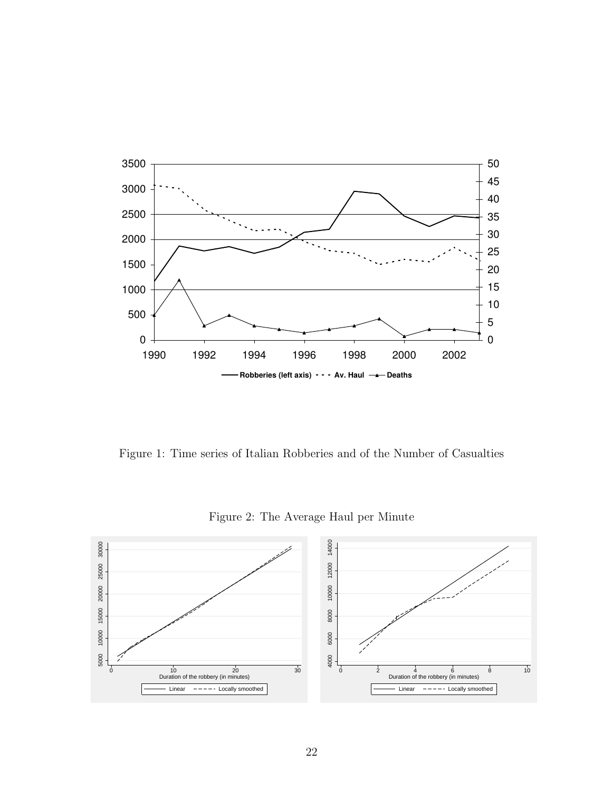<span id="page-21-0"></span>

Figure 1: Time series of Italian Robberies and of the Number of Casualties

Figure 2: The Average Haul per Minute

<span id="page-21-1"></span>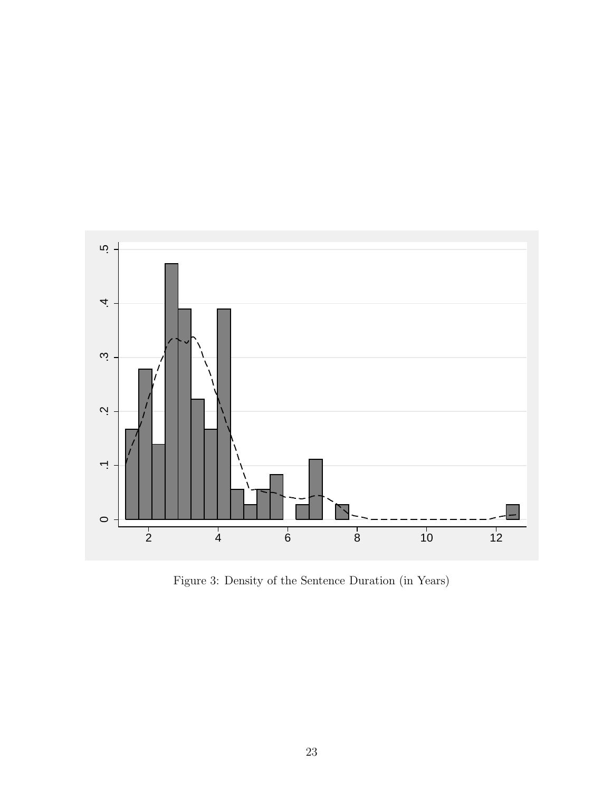<span id="page-22-0"></span>

Figure 3: Density of the Sentence Duration (in Years)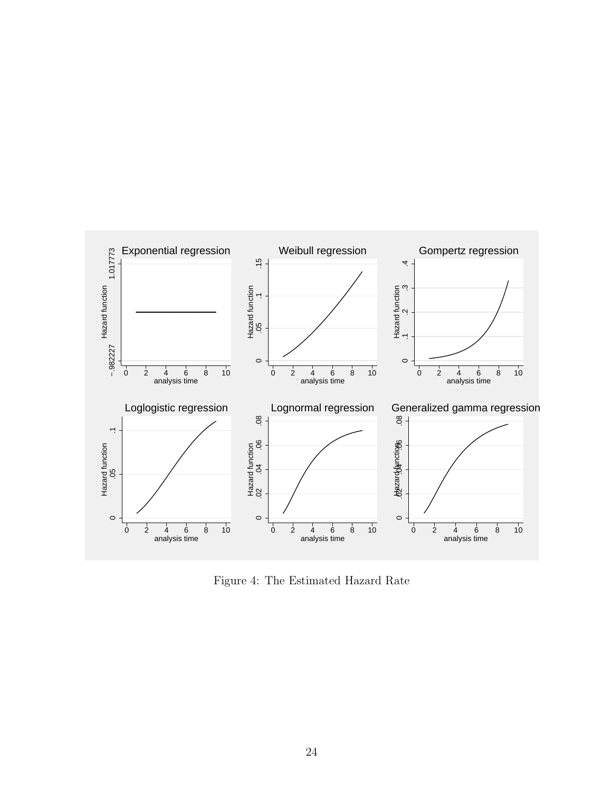<span id="page-23-0"></span>

Figure 4: The Estimated Hazard Rate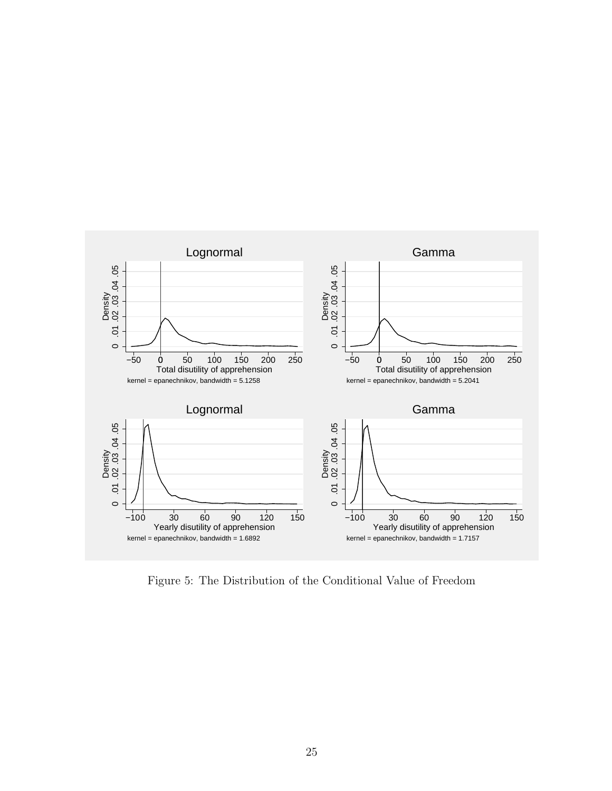<span id="page-24-0"></span>

Figure 5: The Distribution of the Conditional Value of Freedom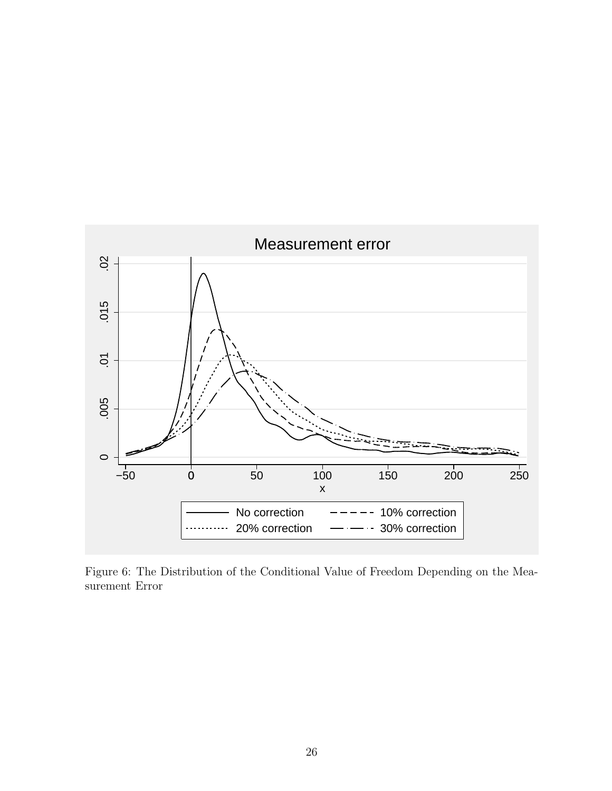<span id="page-25-0"></span>

Figure 6: The Distribution of the Conditional Value of Freedom Depending on the Measurement Error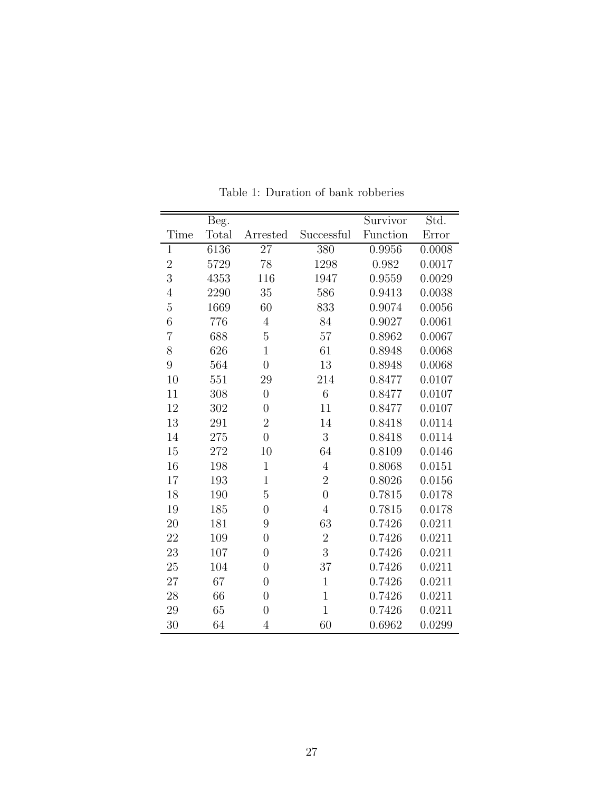<span id="page-26-0"></span>

|                | Beg.  |                  |                  | Survivor | Std.   |
|----------------|-------|------------------|------------------|----------|--------|
| Time           | Total | Arrested         | Successful       | Function | Error  |
| $\mathbf{1}$   | 6136  | $\overline{27}$  | 380              | 0.9956   | 0.0008 |
| $\overline{2}$ | 5729  | 78               | 1298             | 0.982    | 0.0017 |
| 3              | 4353  | 116              | 1947             | 0.9559   | 0.0029 |
| $\overline{4}$ | 2290  | 35               | 586              | 0.9413   | 0.0038 |
| $\overline{5}$ | 1669  | 60               | 833              | 0.9074   | 0.0056 |
| $\sqrt{6}$     | 776   | $\overline{4}$   | 84               | 0.9027   | 0.0061 |
| $\overline{7}$ | 688   | $\overline{5}$   | $57\,$           | 0.8962   | 0.0067 |
| 8              | 626   | $\mathbf{1}$     | 61               | 0.8948   | 0.0068 |
| $\overline{9}$ | 564   | $\overline{0}$   | 13               | 0.8948   | 0.0068 |
| 10             | 551   | 29               | 214              | 0.8477   | 0.0107 |
| 11             | 308   | $\boldsymbol{0}$ | $\overline{6}$   | 0.8477   | 0.0107 |
| 12             | 302   | $\overline{0}$   | 11               | 0.8477   | 0.0107 |
| 13             | 291   | $\overline{2}$   | 14               | 0.8418   | 0.0114 |
| 14             | 275   | $\overline{0}$   | $\overline{3}$   | 0.8418   | 0.0114 |
| 15             | 272   | 10               | 64               | 0.8109   | 0.0146 |
| 16             | 198   | $\mathbf{1}$     | $\overline{4}$   | 0.8068   | 0.0151 |
| 17             | 193   | $\overline{1}$   | $\overline{2}$   | 0.8026   | 0.0156 |
| 18             | 190   | $\overline{5}$   | $\overline{0}$   | 0.7815   | 0.0178 |
| 19             | 185   | $\overline{0}$   | $\overline{4}$   | 0.7815   | 0.0178 |
| 20             | 181   | 9                | 63               | 0.7426   | 0.0211 |
| 22             | 109   | $\overline{0}$   | $\boldsymbol{2}$ | 0.7426   | 0.0211 |
| 23             | 107   | $\overline{0}$   | 3                | 0.7426   | 0.0211 |
| 25             | 104   | $\overline{0}$   | 37               | 0.7426   | 0.0211 |
| 27             | 67    | $\overline{0}$   | $\mathbf{1}$     | 0.7426   | 0.0211 |
| 28             | 66    | $\overline{0}$   | $\mathbf{1}$     | 0.7426   | 0.0211 |
| 29             | 65    | $\overline{0}$   | $\mathbf{1}$     | 0.7426   | 0.0211 |
| 30             | 64    | $\overline{4}$   | 60               | 0.6962   | 0.0299 |

Table 1: Duration of bank robberies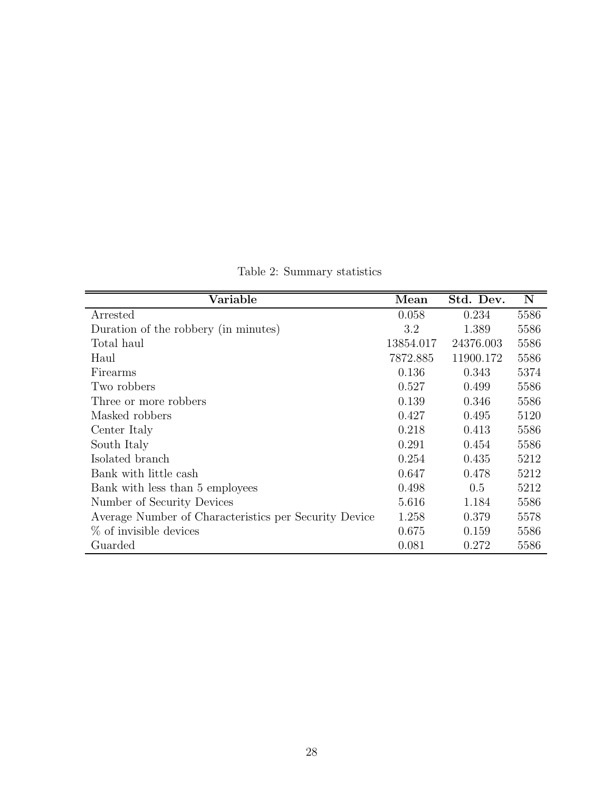<span id="page-27-0"></span>

| Variable                                              | Mean      | Std. Dev. | $\mathbf N$ |
|-------------------------------------------------------|-----------|-----------|-------------|
| Arrested                                              | 0.058     | 0.234     | 5586        |
| Duration of the robbery (in minutes)                  | 3.2       | 1.389     | 5586        |
| Total haul                                            | 13854.017 | 24376.003 | 5586        |
| Haul                                                  | 7872.885  | 11900.172 | 5586        |
| Firearms                                              | 0.136     | 0.343     | 5374        |
| Two robbers                                           | 0.527     | 0.499     | 5586        |
| Three or more robbers                                 | 0.139     | 0.346     | 5586        |
| Masked robbers                                        | 0.427     | 0.495     | 5120        |
| Center Italy                                          | 0.218     | 0.413     | 5586        |
| South Italy                                           | 0.291     | 0.454     | 5586        |
| Isolated branch                                       | 0.254     | 0.435     | 5212        |
| Bank with little cash                                 | 0.647     | 0.478     | 5212        |
| Bank with less than 5 employees                       | 0.498     | 0.5       | 5212        |
| Number of Security Devices                            | 5.616     | 1.184     | 5586        |
| Average Number of Characteristics per Security Device | 1.258     | 0.379     | 5578        |
| $\%$ of invisible devices                             | 0.675     | 0.159     | 5586        |
| Guarded                                               | 0.081     | 0.272     | 5586        |

Table 2: Summary statistics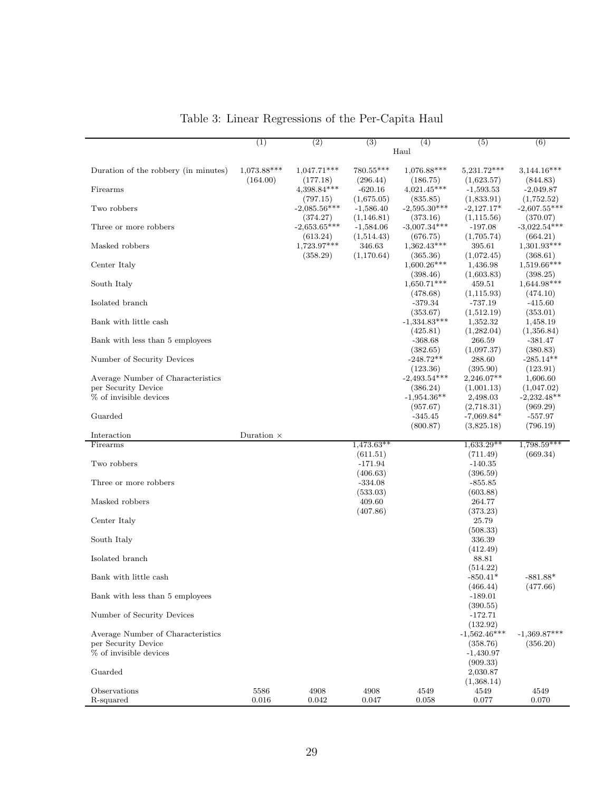<span id="page-28-0"></span>

|                                               | (1)               | (2)                     | (3)                     | (4)                        | (5)                       | (6)                         |
|-----------------------------------------------|-------------------|-------------------------|-------------------------|----------------------------|---------------------------|-----------------------------|
|                                               |                   |                         |                         | Haul                       |                           |                             |
|                                               |                   |                         |                         |                            |                           |                             |
| Duration of the robbery (in minutes)          | $1,073.88***$     | $1,047.71***$           | $780.55***$             | $1,076.88***$              | 5,231.72***               | $3,144.16***$               |
|                                               | (164.00)          | (177.18)                | (296.44)                | (186.75)                   | (1,623.57)                | (844.83)                    |
| Firearms                                      |                   | 4,398.84***<br>(797.15) | $-620.16$<br>(1,675.05) | $4,021.45***$<br>(835.85)  | $-1,593.53$<br>(1,833.91) | $-2,049.87$<br>(1,752.52)   |
| Two robbers                                   |                   | $-2,085.56***$          | $-1,586.40$             | $-2,595.30***$             | $-2,127.17*$              | $-2,607.55***$              |
|                                               |                   | (374.27)                | (1,146.81)              | (373.16)                   | (1,115.56)                | (370.07)                    |
| Three or more robbers                         |                   | $-2,653.65***$          | $-1,584.06$             | $-3,007.34***$             | $-197.08$                 | $-3,022.54***$              |
|                                               |                   | (613.24)                | (1,514.43)              | (676.75)                   | (1,705.74)                | (664.21)                    |
| Masked robbers                                |                   | 1,723.97***             | 346.63                  | $1,362.43***$              | 395.61                    | $1,301.93***$               |
| Center Italy                                  |                   | (358.29)                | (1,170.64)              | (365.36)<br>$1,600.26***$  | (1,072.45)<br>1,436.98    | (368.61)<br>$1,519.66***$   |
|                                               |                   |                         |                         | (398.46)                   | (1,603.83)                | (398.25)                    |
| South Italy                                   |                   |                         |                         | $1,650.71***$              | 459.51                    | $1,644.98***$               |
|                                               |                   |                         |                         | (478.68)                   | (1, 115.93)               | (474.10)                    |
| Isolated branch                               |                   |                         |                         | $-379.34$                  | $-737.19$                 | $-415.60$                   |
|                                               |                   |                         |                         | (353.67)                   | (1,512.19)                | (353.01)                    |
| Bank with little cash                         |                   |                         |                         | $-1,334.83***$<br>(425.81) | 1,352.32<br>(1,282.04)    | 1,458.19<br>(1,356.84)      |
| Bank with less than 5 employees               |                   |                         |                         | $-368.68$                  | 266.59                    | $-381.47$                   |
|                                               |                   |                         |                         | (382.65)                   | (1,097.37)                | (380.83)                    |
| Number of Security Devices                    |                   |                         |                         | $-248.72**$                | 288.60                    | $-285.14**$                 |
|                                               |                   |                         |                         | (123.36)                   | (395.90)                  | (123.91)                    |
| Average Number of Characteristics             |                   |                         |                         | $-2,493.54***$             | 2,246.07**                | 1,606.60                    |
| per Security Device<br>% of invisible devices |                   |                         |                         | (386.24)<br>$-1,954.36**$  | (1,001.13)<br>2,498.03    | (1,047.02)<br>$-2,232.48**$ |
|                                               |                   |                         |                         | (957.67)                   | (2,718.31)                | (969.29)                    |
| Guarded                                       |                   |                         |                         | $-345.45$                  | $-7,069.84*$              | $-557.97$                   |
|                                               |                   |                         |                         | (800.87)                   | (3,825.18)                | (796.19)                    |
| Interaction                                   | Duration $\times$ |                         |                         |                            |                           |                             |
| Firearms                                      |                   |                         | $1,473.63**$            |                            | $1,633.29**$              | $1,798.59***$               |
| Two robbers                                   |                   |                         | (611.51)<br>$-171.94$   |                            | (711.49)<br>$-140.35$     | (669.34)                    |
|                                               |                   |                         | (406.63)                |                            | (396.59)                  |                             |
| Three or more robbers                         |                   |                         | $-334.08$               |                            | $-855.85$                 |                             |
|                                               |                   |                         | (533.03)                |                            | (603.88)                  |                             |
| Masked robbers                                |                   |                         | 409.60                  |                            | 264.77                    |                             |
|                                               |                   |                         | (407.86)                |                            | (373.23)                  |                             |
| Center Italy                                  |                   |                         |                         |                            | 25.79<br>(508.33)         |                             |
| South Italy                                   |                   |                         |                         |                            | 336.39                    |                             |
|                                               |                   |                         |                         |                            | (412.49)                  |                             |
| Isolated branch                               |                   |                         |                         |                            | 88.81                     |                             |
|                                               |                   |                         |                         |                            | (514.22)                  |                             |
| Bank with little cash                         |                   |                         |                         |                            | $-850.41*$                | $-881.88*$                  |
| Bank with less than 5 employees               |                   |                         |                         |                            | (466.44)<br>$-189.01$     | (477.66)                    |
|                                               |                   |                         |                         |                            | (390.55)                  |                             |
| Number of Security Devices                    |                   |                         |                         |                            | $-172.71$                 |                             |
|                                               |                   |                         |                         |                            | (132.92)                  |                             |
| Average Number of Characteristics             |                   |                         |                         |                            | $-1,562.46***$            | $-1,369.87***$              |
| per Security Device                           |                   |                         |                         |                            | (358.76)                  | (356.20)                    |
| % of invisible devices                        |                   |                         |                         |                            | $-1,430.97$<br>(909.33)   |                             |
| Guarded                                       |                   |                         |                         |                            | 2,030.87                  |                             |
|                                               |                   |                         |                         |                            | (1,368.14)                |                             |
| Observations                                  | 5586              | 4908                    | 4908                    | 4549                       | 4549                      | 4549                        |
| R-squared                                     | 0.016             | 0.042                   | 0.047                   | 0.058                      | 0.077                     | 0.070                       |

Table 3: Linear Regressions of the Per-Capita Haul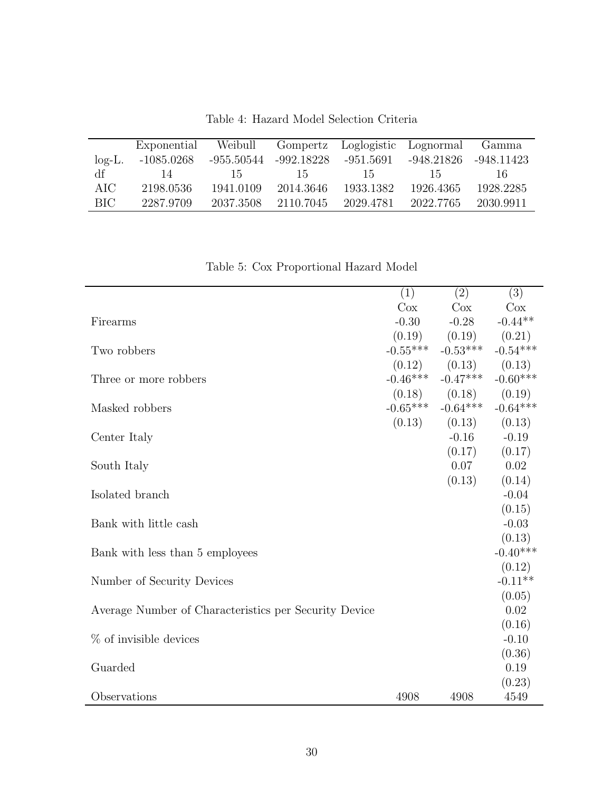<span id="page-29-0"></span>

|           | Exponential | Weibull               |           | Gompertz Loglogistic Lognormal |            | Gamma      |
|-----------|-------------|-----------------------|-----------|--------------------------------|------------|------------|
| $log-L$ . | -1085.0268  | -955.50544 -992.18228 |           | -951.5691                      | -948.21826 | -948.11423 |
| df        | 14          | -15                   | -15       | -15                            | -15        | 16.        |
| AIC       | 2198.0536   | 1941.0109             | 2014.3646 | 1933.1382                      | 1926.4365  | 1928.2285  |
| BIC       | 2287.9709   | 2037.3508             | 2110.7045 | 2029.4781                      | 2022.7765  | 2030.9911  |

Table 4: Hazard Model Selection Criteria

<span id="page-29-1"></span>

| rable 5. Cox i roportional riazard moder              |            |                            |                   |
|-------------------------------------------------------|------------|----------------------------|-------------------|
|                                                       | (1)        | (2)                        | (3)               |
|                                                       | Cox        | Cox                        | Cox               |
| Firearms                                              | $-0.30$    | $-0.28$                    | $-0.44**$         |
|                                                       | (0.19)     | (0.19)                     | (0.21)            |
| Two robbers                                           | $-0.55***$ | $-0.53***$                 | $-0.54***$        |
|                                                       |            | $(0.12)$ $(0.13)$ $(0.13)$ |                   |
| Three or more robbers                                 | $-0.46***$ | $-0.47***$                 | $-0.60***$        |
|                                                       |            | $(0.18)$ $(0.18)$          | (0.19)            |
| Masked robbers                                        | $-0.65***$ | $-0.64***$                 | $-0.64***$        |
|                                                       | (0.13)     | (0.13)                     | (0.13)            |
| Center Italy                                          |            | $-0.16$                    | $-0.19$           |
|                                                       |            | (0.17)                     | (0.17)            |
| South Italy                                           |            | 0.07<br>(0.13)             | 0.02              |
| Isolated branch                                       |            |                            | (0.14)<br>$-0.04$ |
|                                                       |            |                            | (0.15)            |
| Bank with little cash                                 |            |                            | $-0.03$           |
|                                                       |            |                            | (0.13)            |
| Bank with less than 5 employees                       |            |                            | $-0.40***$        |
|                                                       |            |                            | (0.12)            |
| Number of Security Devices                            |            |                            | $-0.11**$         |
|                                                       |            |                            | (0.05)            |
| Average Number of Characteristics per Security Device |            |                            | 0.02              |
|                                                       |            |                            | (0.16)            |
| $%$ of invisible devices                              |            |                            | $-0.10$           |
|                                                       |            |                            | (0.36)            |
| Guarded                                               |            |                            | 0.19              |
|                                                       |            |                            | (0.23)            |
| Observations                                          | 4908       | 4908                       | 4549              |

Table 5: Cox Proportional Hazard Model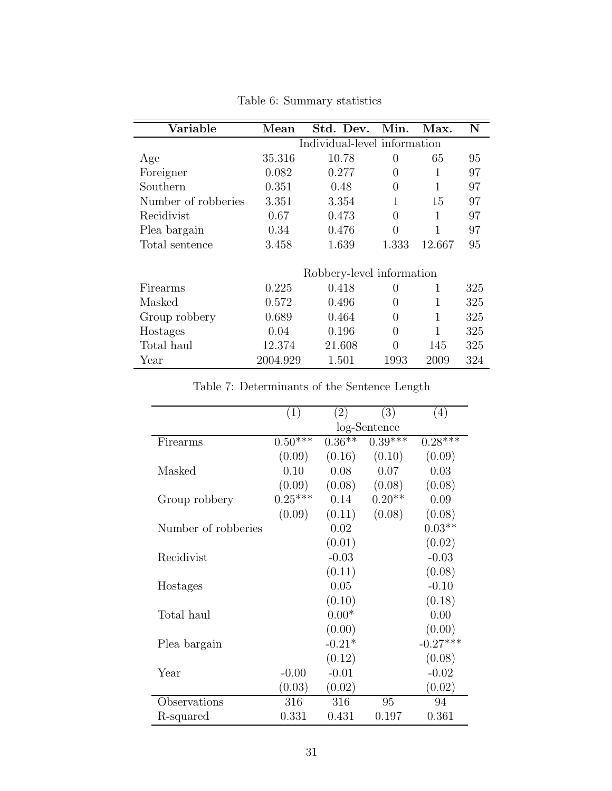<span id="page-30-0"></span>

| Variable            | Mean     | Std. Dev.                    | Min.             | Max.   | N   |
|---------------------|----------|------------------------------|------------------|--------|-----|
|                     |          | Individual-level information |                  |        |     |
| Age                 | 35.316   | 10.78                        | $\left( \right)$ | 65     | 95  |
| Foreigner           | 0.082    | 0.277                        | $\left( \right)$ | 1      | 97  |
| Southern            | 0.351    | 0.48                         | 0                | 1      | 97  |
| Number of robberies | 3.351    | 3.354                        |                  | 15     | 97  |
| Recidivist          | 0.67     | 0.473                        | 0                | 1      | 97  |
| Plea bargain        | 0.34     | 0.476                        | 0                | 1      | 97  |
| Total sentence      | 3.458    | 1.639                        | 1.333            | 12.667 | 95  |
|                     |          | Robbery-level information    |                  |        |     |
| Firearms            | 0.225    | 0.418                        | $\left( \right)$ | 1      | 325 |
| Masked              | 0.572    | 0.496                        | $\left( \right)$ | 1      | 325 |
| Group robbery       | 0.689    | 0.464                        | 0                | 1      | 325 |
| Hostages            | 0.04     | 0.196                        | 0                | 1      | 325 |
| Total haul          | 12.374   | 21.608                       | 0                | 145    | 325 |
| Year                | 2004.929 | 1.501                        | 1993             | 2009   | 324 |

Table 6: Summary statistics

Table 7: Determinants of the Sentence Length

<span id="page-30-1"></span>

|                     | (1)        | $\left( 2\right)$ | (3)          | (4)        |
|---------------------|------------|-------------------|--------------|------------|
|                     |            |                   | log-Sentence |            |
| Firearms            | $0.50$ *** | $0.36***$         | $0.39***$    | $0.28***$  |
|                     | (0.09)     | (0.16)            | (0.10)       | (0.09)     |
| Masked              | 0.10       | 0.08              | 0.07         | 0.03       |
|                     | (0.09)     | (0.08)            | (0.08)       | (0.08)     |
| Group robbery       | $0.25***$  | 0.14              | $0.20**$     | 0.09       |
|                     | (0.09)     | (0.11)            | (0.08)       | (0.08)     |
| Number of robberies |            | 0.02              |              | $0.03**$   |
|                     |            | (0.01)            |              | (0.02)     |
| Recidivist          |            | $-0.03$           |              | $-0.03$    |
|                     |            | (0.11)            |              | (0.08)     |
| Hostages            |            | 0.05              |              | $-0.10$    |
|                     |            | (0.10)            |              | (0.18)     |
| Total haul          |            | $0.00*$           |              | 0.00       |
|                     |            | (0.00)            |              | (0.00)     |
| Plea bargain        |            | $-0.21*$          |              | $-0.27***$ |
|                     |            | (0.12)            |              | (0.08)     |
| Year                | $-0.00$    | $-0.01$           |              | $-0.02$    |
|                     | (0.03)     | (0.02)            |              | (0.02)     |
| Observations        | 316        | 316               | 95           | 94         |
| R-squared           | 0.331      | 0.431             | 0.197        | 0.361      |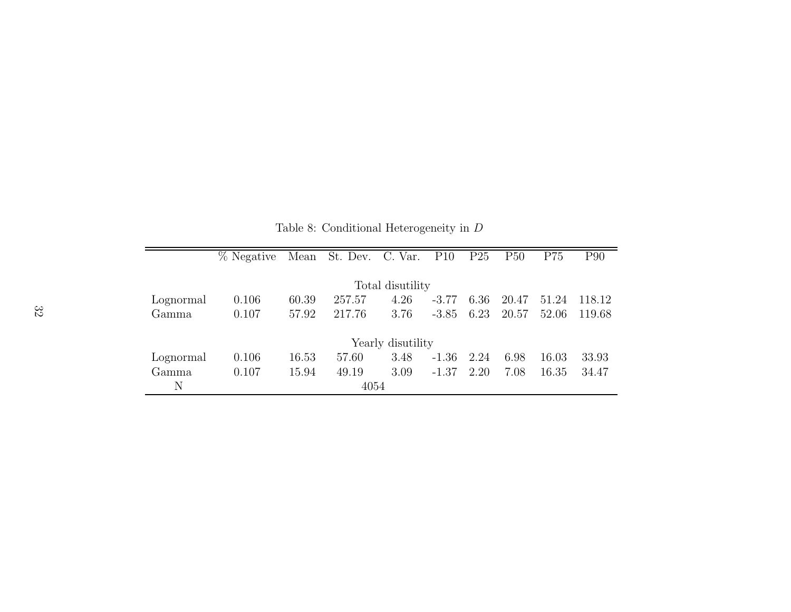<span id="page-31-0"></span>

|           | % Negative | Mean  | St. Dev. C. Var. |                   | P10     | P <sub>25</sub> | P50   | P75   | P90    |
|-----------|------------|-------|------------------|-------------------|---------|-----------------|-------|-------|--------|
|           |            |       |                  |                   |         |                 |       |       |        |
|           |            |       |                  | Total disutility  |         |                 |       |       |        |
| Lognormal | 0.106      | 60.39 | 257.57           | 4.26              | $-3.77$ | 6.36            | 20.47 | 51.24 | 118.12 |
| Gamma     | 0.107      | 57.92 | 217.76           | 3.76              | $-3.85$ | 6.23            | 20.57 | 52.06 | 119.68 |
|           |            |       |                  |                   |         |                 |       |       |        |
|           |            |       |                  | Yearly disutility |         |                 |       |       |        |
| Lognormal | 0.106      | 16.53 | 57.60            | 3.48              | $-1.36$ | 2.24            | 6.98  | 16.03 | 33.93  |
| Gamma     | 0.107      | 15.94 | 49.19            | 3.09              | $-1.37$ | 2.20            | 7.08  | 16.35 | 34.47  |
| N         |            |       | 4054             |                   |         |                 |       |       |        |

Table 8: Conditional Heterogeneity in <sup>D</sup>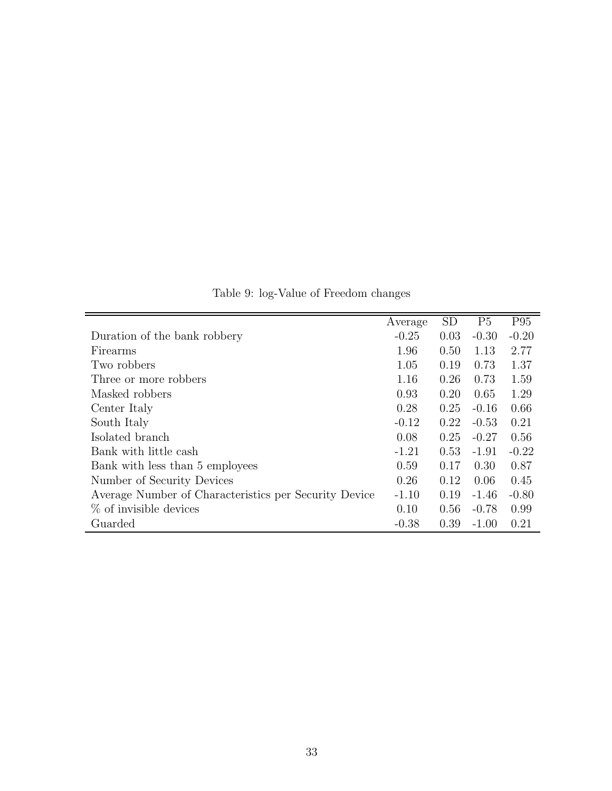<span id="page-32-0"></span>

|                                                       | Average | <b>SD</b> | P <sub>5</sub> | P95     |
|-------------------------------------------------------|---------|-----------|----------------|---------|
| Duration of the bank robbery                          | $-0.25$ | 0.03      | $-0.30$        | $-0.20$ |
| Firearms                                              | 1.96    | 0.50      | 1.13           | 2.77    |
| Two robbers                                           | 1.05    | 0.19      | 0.73           | 1.37    |
| Three or more robbers                                 | 1.16    | 0.26      | 0.73           | 1.59    |
| Masked robbers                                        | 0.93    | 0.20      | 0.65           | 1.29    |
| Center Italy                                          | 0.28    | 0.25      | $-0.16$        | 0.66    |
| South Italy                                           | $-0.12$ | 0.22      | $-0.53$        | 0.21    |
| Isolated branch                                       | 0.08    | 0.25      | $-0.27$        | 0.56    |
| Bank with little cash                                 | $-1.21$ | 0.53      | $-1.91$        | $-0.22$ |
| Bank with less than 5 employees                       | 0.59    | 0.17      | 0.30           | 0.87    |
| Number of Security Devices                            | 0.26    | 0.12      | 0.06           | 0.45    |
| Average Number of Characteristics per Security Device | $-1.10$ | 0.19      | $-1.46$        | $-0.80$ |
| $\%$ of invisible devices                             | 0.10    | 0.56      | $-0.78$        | 0.99    |
| Guarded                                               | $-0.38$ | 0.39      | $-1.00$        | 0.21    |

Table 9: log-Value of Freedom changes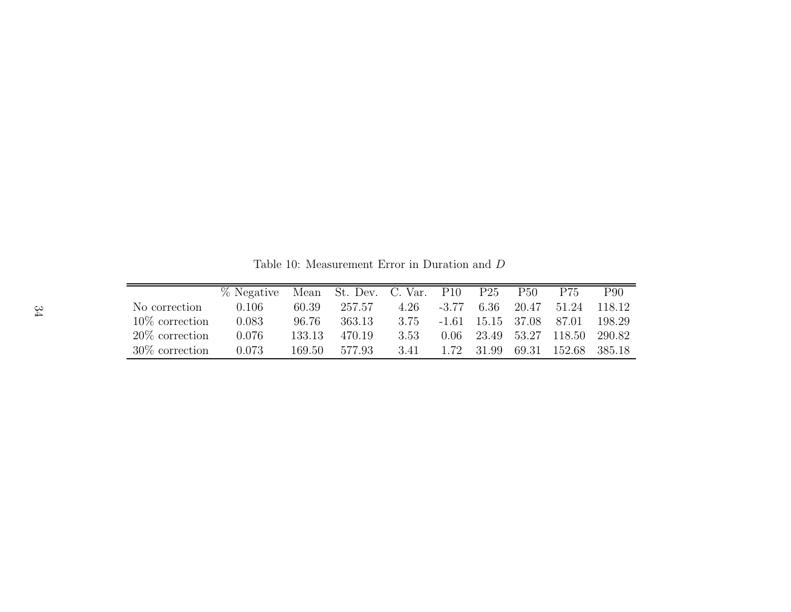Table 10: Measurement Error in Duration and <sup>D</sup>

|                   | % Negative |        | Mean St. Dev. C. Var. P10 |      |         | P <sub>25</sub> | P <sub>50</sub>                 | P75                 | P90    |
|-------------------|------------|--------|---------------------------|------|---------|-----------------|---------------------------------|---------------------|--------|
| No correction     | 0.106      | 60.39  | 257.57                    | 4.26 | $-3.77$ |                 | 6.36 20.47                      | 51.24               | 118.12 |
| $10\%$ correction | 0.083      | 96.76  | 363.13                    | 3.75 |         |                 | $-1.61$ $15.15$ $37.08$ $87.01$ |                     | 198.29 |
| $20\%$ correction | 0.076      | 133.13 | 470.19                    | 3.53 | 0.06    |                 |                                 | 23.49 53.27 118.50  | 290.82 |
| $30\%$ correction | 0.073      | 169.50 | 577.93                    | 3.41 | 1.72    | 31.99           |                                 | 69.31 152.68 385.18 |        |